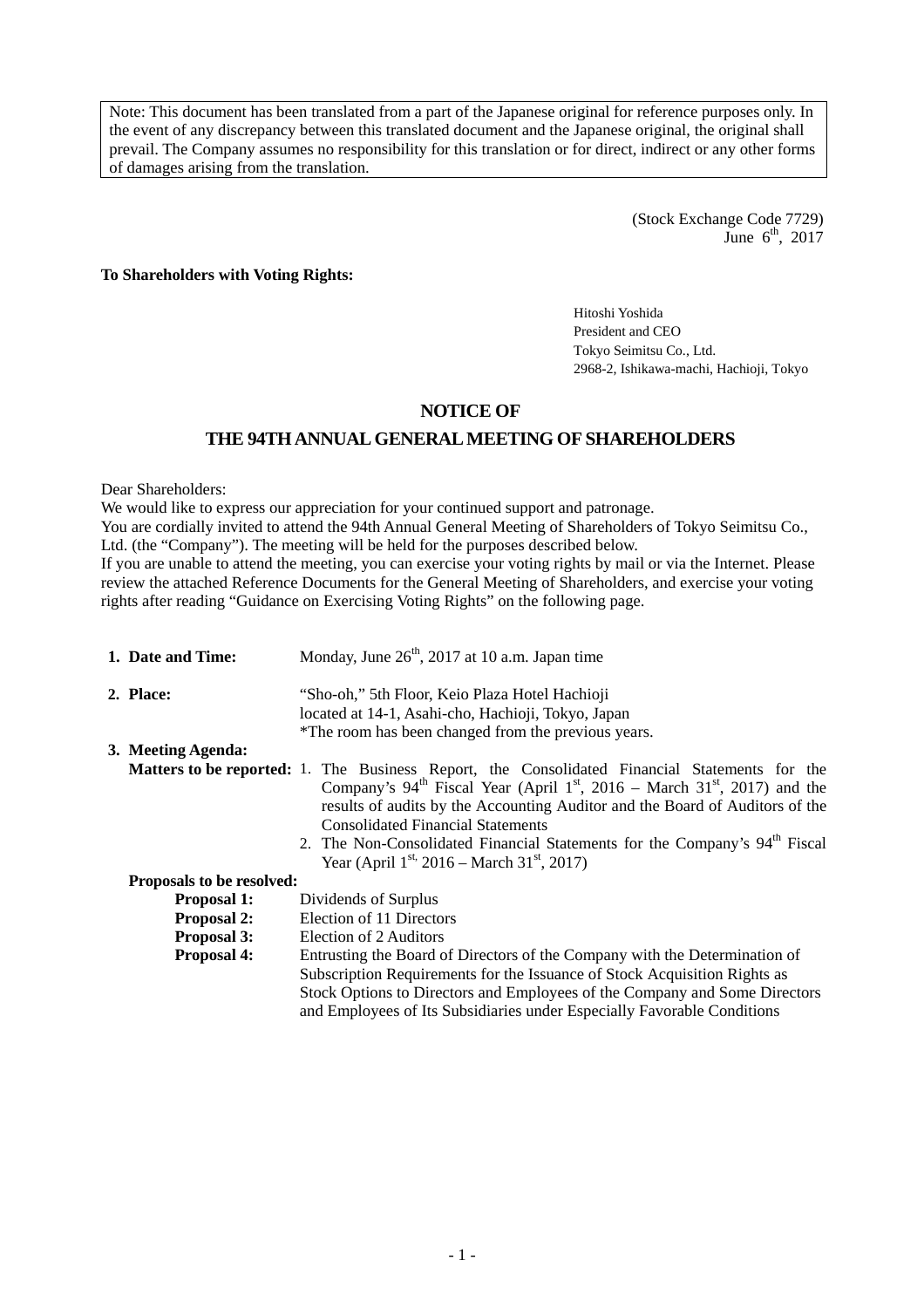Note: This document has been translated from a part of the Japanese original for reference purposes only. In the event of any discrepancy between this translated document and the Japanese original, the original shall prevail. The Company assumes no responsibility for this translation or for direct, indirect or any other forms of damages arising from the translation.

> (Stock Exchange Code 7729) June  $6<sup>th</sup>$ , 2017

**To Shareholders with Voting Rights:** 

Hitoshi Yoshida President and CEO Tokyo Seimitsu Co., Ltd. 2968-2, Ishikawa-machi, Hachioji, Tokyo

# **NOTICE OF**

# **THE 94TH ANNUAL GENERAL MEETING OF SHAREHOLDERS**

Dear Shareholders:

We would like to express our appreciation for your continued support and patronage. You are cordially invited to attend the 94th Annual General Meeting of Shareholders of Tokyo Seimitsu Co., Ltd. (the "Company"). The meeting will be held for the purposes described below. If you are unable to attend the meeting, you can exercise your voting rights by mail or via the Internet. Please review the attached Reference Documents for the General Meeting of Shareholders, and exercise your voting rights after reading "Guidance on Exercising Voting Rights" on the following page.

| 1. Date and Time:         | Monday, June 26 <sup>th</sup> , 2017 at 10 a.m. Japan time                                                                                                                                                                                                                                                                                                                                                                                                                                                  |  |  |
|---------------------------|-------------------------------------------------------------------------------------------------------------------------------------------------------------------------------------------------------------------------------------------------------------------------------------------------------------------------------------------------------------------------------------------------------------------------------------------------------------------------------------------------------------|--|--|
| 2. Place:                 | "Sho-oh," 5th Floor, Keio Plaza Hotel Hachioji                                                                                                                                                                                                                                                                                                                                                                                                                                                              |  |  |
|                           | located at 14-1, Asahi-cho, Hachioji, Tokyo, Japan                                                                                                                                                                                                                                                                                                                                                                                                                                                          |  |  |
|                           | *The room has been changed from the previous years.                                                                                                                                                                                                                                                                                                                                                                                                                                                         |  |  |
| 3. Meeting Agenda:        |                                                                                                                                                                                                                                                                                                                                                                                                                                                                                                             |  |  |
|                           | <b>Matters to be reported:</b> 1. The Business Report, the Consolidated Financial Statements for the<br>Company's $94^{\text{th}}$ Fiscal Year (April 1 <sup>st</sup> , 2016 – March 31 <sup>st</sup> , 2017) and the<br>results of audits by the Accounting Auditor and the Board of Auditors of the<br><b>Consolidated Financial Statements</b><br>2. The Non-Consolidated Financial Statements for the Company's 94 <sup>th</sup> Fiscal<br>Year (April $1^{st}$ , 2016 – March 31 <sup>st</sup> , 2017) |  |  |
| Proposals to be resolved: |                                                                                                                                                                                                                                                                                                                                                                                                                                                                                                             |  |  |
| <b>Proposal 1:</b>        | Dividends of Surplus                                                                                                                                                                                                                                                                                                                                                                                                                                                                                        |  |  |
| <b>Proposal 2:</b>        | Election of 11 Directors                                                                                                                                                                                                                                                                                                                                                                                                                                                                                    |  |  |
| <b>Proposal 3:</b>        | Election of 2 Auditors                                                                                                                                                                                                                                                                                                                                                                                                                                                                                      |  |  |
| <b>Proposal 4:</b>        | Entrusting the Board of Directors of the Company with the Determination of<br>Subscription Requirements for the Issuance of Stock Acquisition Rights as<br>Stock Options to Directors and Employees of the Company and Some Directors<br>and Employees of Its Subsidiaries under Especially Favorable Conditions                                                                                                                                                                                            |  |  |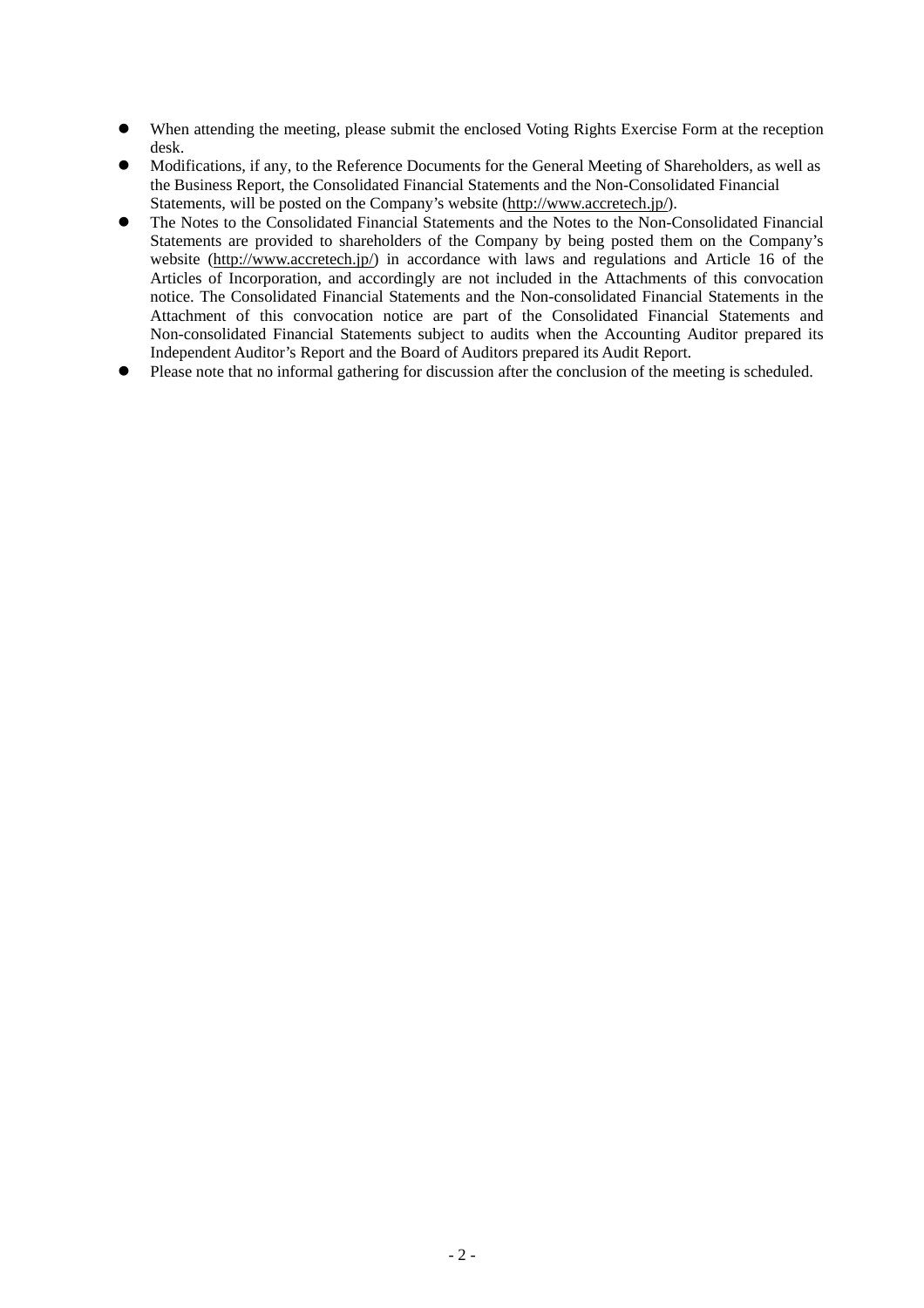- When attending the meeting, please submit the enclosed Voting Rights Exercise Form at the reception desk.
- Modifications, if any, to the Reference Documents for the General Meeting of Shareholders, as well as the Business Report, the Consolidated Financial Statements and the Non-Consolidated Financial Statements, will be posted on the Company's website (http://www.accretech.jp/).
- The Notes to the Consolidated Financial Statements and the Notes to the Non-Consolidated Financial Statements are provided to shareholders of the Company by being posted them on the Company's website (http://www.accretech.jp/) in accordance with laws and regulations and Article 16 of the Articles of Incorporation, and accordingly are not included in the Attachments of this convocation notice. The Consolidated Financial Statements and the Non-consolidated Financial Statements in the Attachment of this convocation notice are part of the Consolidated Financial Statements and Non-consolidated Financial Statements subject to audits when the Accounting Auditor prepared its Independent Auditor's Report and the Board of Auditors prepared its Audit Report.
- Please note that no informal gathering for discussion after the conclusion of the meeting is scheduled.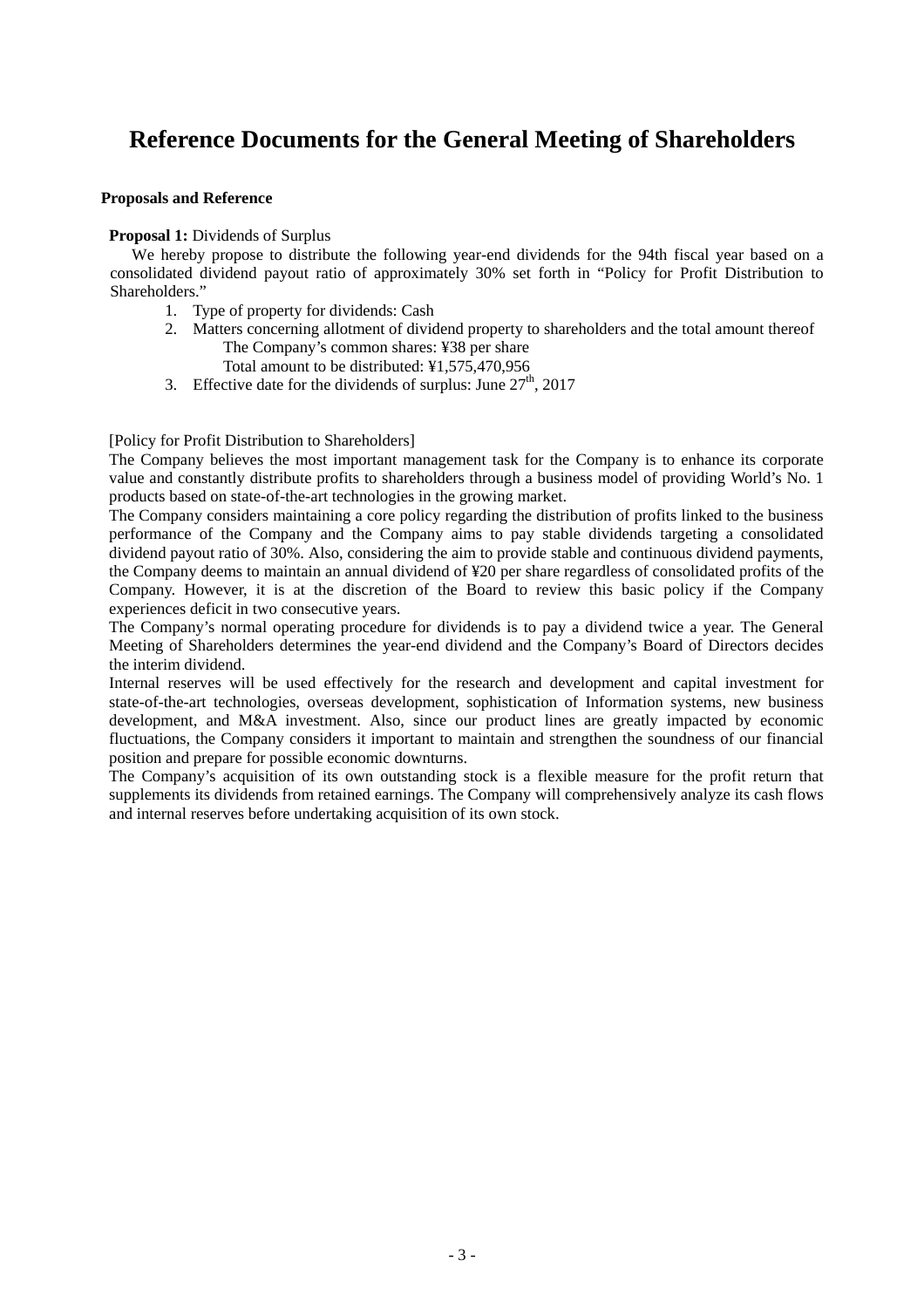# **Reference Documents for the General Meeting of Shareholders**

### **Proposals and Reference**

#### **Proposal 1:** Dividends of Surplus

We hereby propose to distribute the following year-end dividends for the 94th fiscal year based on a consolidated dividend payout ratio of approximately 30% set forth in "Policy for Profit Distribution to Shareholders."

- 1. Type of property for dividends: Cash
- 2. Matters concerning allotment of dividend property to shareholders and the total amount thereof The Company's common shares: ¥38 per share
	- Total amount to be distributed: ¥1,575,470,956
- 3. Effective date for the dividends of surplus: June  $27<sup>th</sup>$ , 2017

#### [Policy for Profit Distribution to Shareholders]

The Company believes the most important management task for the Company is to enhance its corporate value and constantly distribute profits to shareholders through a business model of providing World's No. 1 products based on state-of-the-art technologies in the growing market.

The Company considers maintaining a core policy regarding the distribution of profits linked to the business performance of the Company and the Company aims to pay stable dividends targeting a consolidated dividend payout ratio of 30%. Also, considering the aim to provide stable and continuous dividend payments, the Company deems to maintain an annual dividend of ¥20 per share regardless of consolidated profits of the Company. However, it is at the discretion of the Board to review this basic policy if the Company experiences deficit in two consecutive years.

The Company's normal operating procedure for dividends is to pay a dividend twice a year. The General Meeting of Shareholders determines the year-end dividend and the Company's Board of Directors decides the interim dividend.

Internal reserves will be used effectively for the research and development and capital investment for state-of-the-art technologies, overseas development, sophistication of Information systems, new business development, and M&A investment. Also, since our product lines are greatly impacted by economic fluctuations, the Company considers it important to maintain and strengthen the soundness of our financial position and prepare for possible economic downturns.

The Company's acquisition of its own outstanding stock is a flexible measure for the profit return that supplements its dividends from retained earnings. The Company will comprehensively analyze its cash flows and internal reserves before undertaking acquisition of its own stock.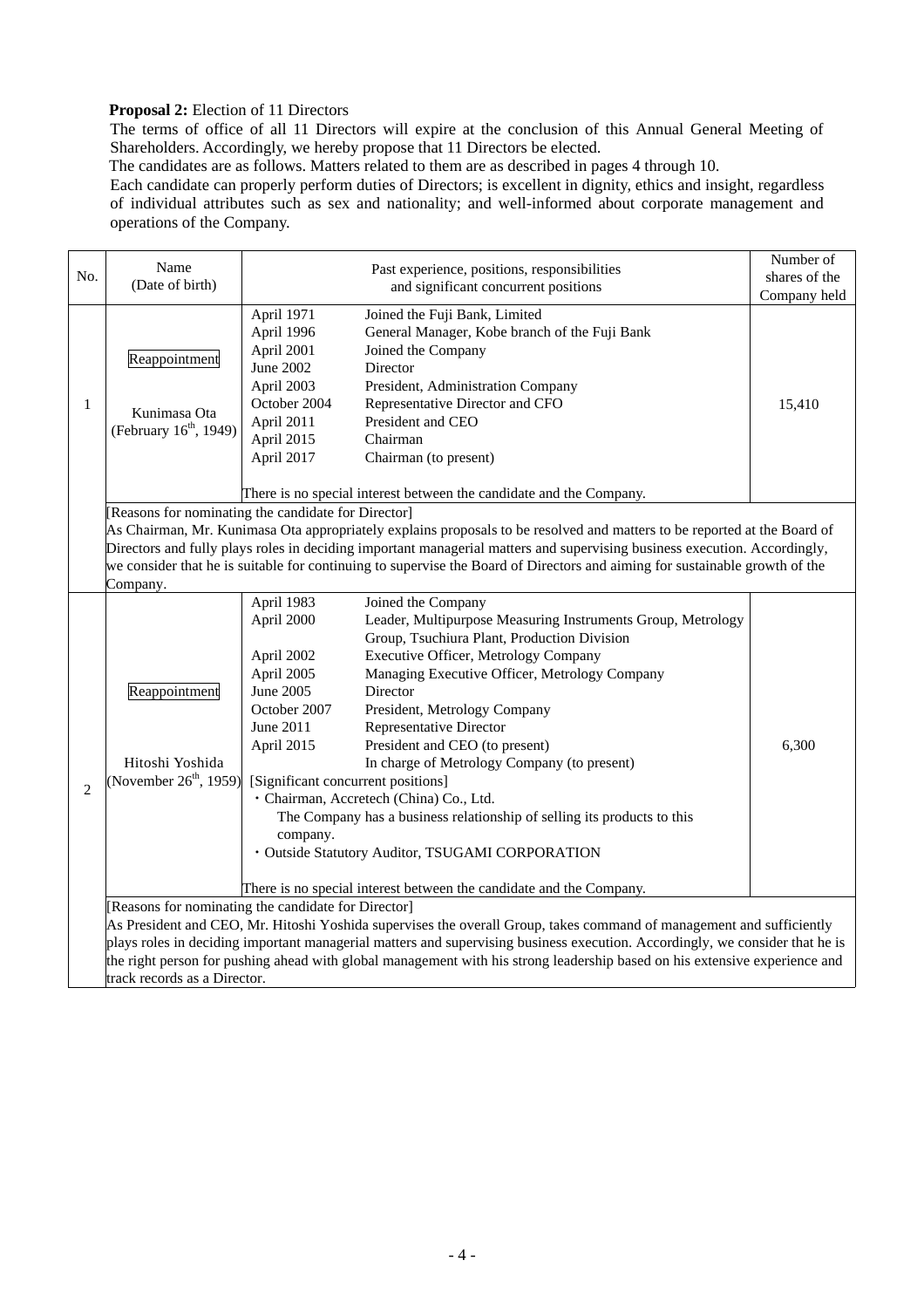## **Proposal 2:** Election of 11 Directors

The terms of office of all 11 Directors will expire at the conclusion of this Annual General Meeting of Shareholders. Accordingly, we hereby propose that 11 Directors be elected.

The candidates are as follows. Matters related to them are as described in pages 4 through 10.

Each candidate can properly perform duties of Directors; is excellent in dignity, ethics and insight, regardless of individual attributes such as sex and nationality; and well-informed about corporate management and operations of the Company.

| Name<br>Past experience, positions, responsibilities<br>No. |                                                                                                                     |                                                                                                                                                                | Number of<br>shares of the                                                                                                                                                                                                                                                                                                                                                                                                                                                                                                                                                                                                                |              |  |
|-------------------------------------------------------------|---------------------------------------------------------------------------------------------------------------------|----------------------------------------------------------------------------------------------------------------------------------------------------------------|-------------------------------------------------------------------------------------------------------------------------------------------------------------------------------------------------------------------------------------------------------------------------------------------------------------------------------------------------------------------------------------------------------------------------------------------------------------------------------------------------------------------------------------------------------------------------------------------------------------------------------------------|--------------|--|
|                                                             | (Date of birth)                                                                                                     | and significant concurrent positions                                                                                                                           |                                                                                                                                                                                                                                                                                                                                                                                                                                                                                                                                                                                                                                           | Company held |  |
| $\mathbf{1}$                                                | Reappointment<br>Kunimasa Ota<br>(February 16 <sup>th</sup> , 1949)                                                 | April 1971<br>April 1996<br>April 2001<br>June 2002<br>April 2003<br>October 2004<br>April 2011<br>April 2015<br>April 2017                                    | Joined the Fuji Bank, Limited<br>General Manager, Kobe branch of the Fuji Bank<br>Joined the Company<br>Director<br>President, Administration Company<br>Representative Director and CFO<br>President and CEO<br>Chairman<br>Chairman (to present)                                                                                                                                                                                                                                                                                                                                                                                        | 15,410       |  |
|                                                             | There is no special interest between the candidate and the Company.                                                 |                                                                                                                                                                |                                                                                                                                                                                                                                                                                                                                                                                                                                                                                                                                                                                                                                           |              |  |
|                                                             | [Reasons for nominating the candidate for Director]<br>Company.                                                     |                                                                                                                                                                | As Chairman, Mr. Kunimasa Ota appropriately explains proposals to be resolved and matters to be reported at the Board of<br>Directors and fully plays roles in deciding important managerial matters and supervising business execution. Accordingly,<br>we consider that he is suitable for continuing to supervise the Board of Directors and aiming for sustainable growth of the                                                                                                                                                                                                                                                      |              |  |
| $\overline{2}$                                              | Reappointment<br>Hitoshi Yoshida<br>(November $26th$ , 1959)<br>[Reasons for nominating the candidate for Director] | April 1983<br>April 2000<br>April 2002<br>April 2005<br>June 2005<br>October 2007<br>June 2011<br>April 2015<br>[Significant concurrent positions]<br>company. | Joined the Company<br>Leader, Multipurpose Measuring Instruments Group, Metrology<br>Group, Tsuchiura Plant, Production Division<br><b>Executive Officer, Metrology Company</b><br>Managing Executive Officer, Metrology Company<br>Director<br>President, Metrology Company<br>Representative Director<br>President and CEO (to present)<br>In charge of Metrology Company (to present)<br>· Chairman, Accretech (China) Co., Ltd.<br>The Company has a business relationship of selling its products to this<br>· Outside Statutory Auditor, TSUGAMI CORPORATION<br>There is no special interest between the candidate and the Company. | 6,300        |  |
|                                                             | track records as a Director.                                                                                        |                                                                                                                                                                | As President and CEO, Mr. Hitoshi Yoshida supervises the overall Group, takes command of management and sufficiently<br>plays roles in deciding important managerial matters and supervising business execution. Accordingly, we consider that he is<br>the right person for pushing ahead with global management with his strong leadership based on his extensive experience and                                                                                                                                                                                                                                                        |              |  |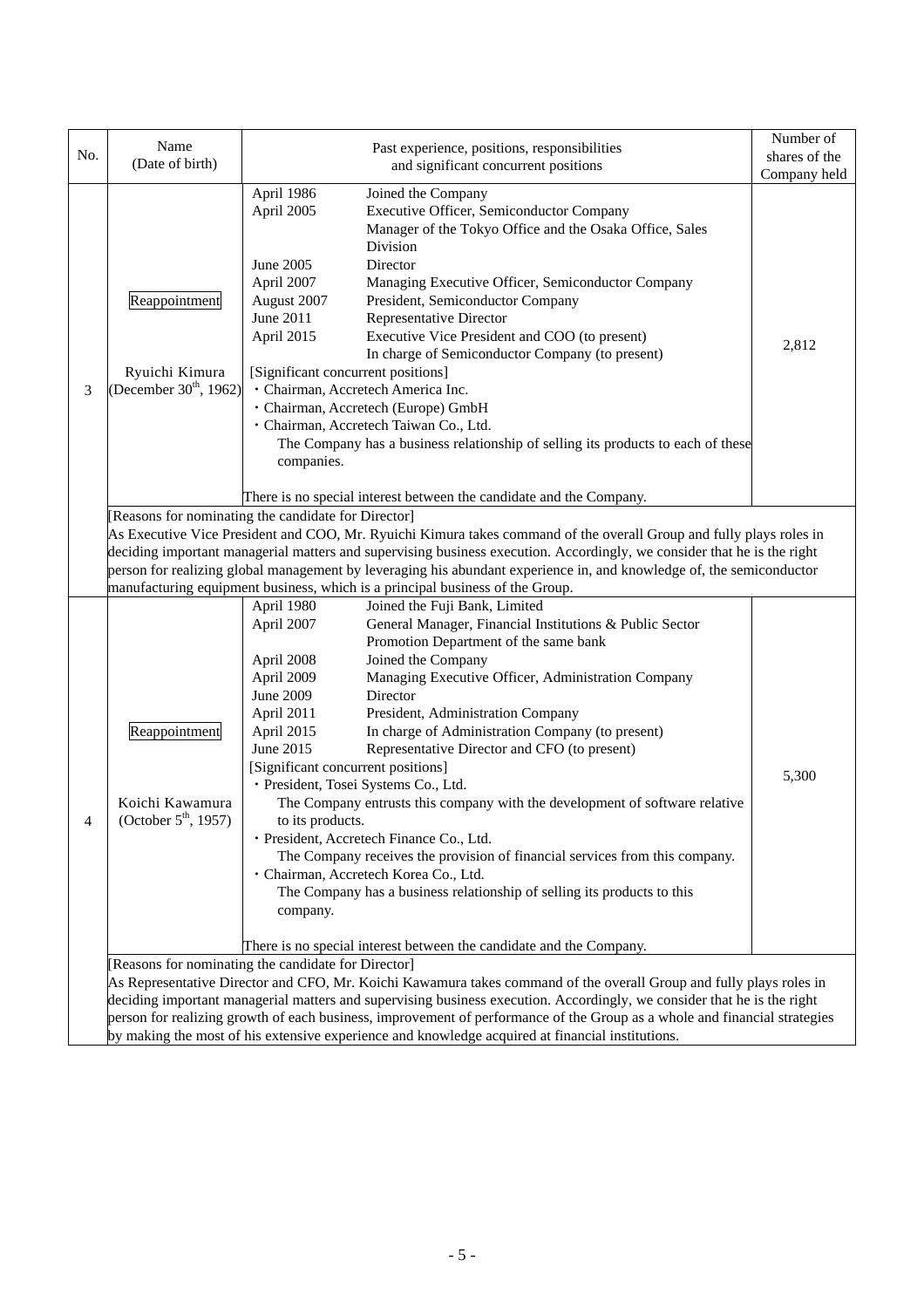| No. | Name                                                                                                                                                                                                                                                                                                                                                                                                                                                                                                                                                          | Past experience, positions, responsibilities                                                                                                                                                                                                                                                                                                                                                                                                                                                                                                                                                                                                                                                                                                                                                                                                                                                                                                         | Number of<br>shares of the |
|-----|---------------------------------------------------------------------------------------------------------------------------------------------------------------------------------------------------------------------------------------------------------------------------------------------------------------------------------------------------------------------------------------------------------------------------------------------------------------------------------------------------------------------------------------------------------------|------------------------------------------------------------------------------------------------------------------------------------------------------------------------------------------------------------------------------------------------------------------------------------------------------------------------------------------------------------------------------------------------------------------------------------------------------------------------------------------------------------------------------------------------------------------------------------------------------------------------------------------------------------------------------------------------------------------------------------------------------------------------------------------------------------------------------------------------------------------------------------------------------------------------------------------------------|----------------------------|
|     | (Date of birth)<br>and significant concurrent positions                                                                                                                                                                                                                                                                                                                                                                                                                                                                                                       |                                                                                                                                                                                                                                                                                                                                                                                                                                                                                                                                                                                                                                                                                                                                                                                                                                                                                                                                                      | Company held               |
| 3   | Reappointment<br>Ryuichi Kimura<br>(December 30 <sup>th</sup> , 1962)                                                                                                                                                                                                                                                                                                                                                                                                                                                                                         | April 1986<br>Joined the Company<br>Executive Officer, Semiconductor Company<br>April 2005<br>Manager of the Tokyo Office and the Osaka Office, Sales<br>Division<br>Director<br>June 2005<br>April 2007<br>Managing Executive Officer, Semiconductor Company<br>August 2007<br>President, Semiconductor Company<br>June 2011<br>Representative Director<br>April 2015<br>Executive Vice President and COO (to present)<br>In charge of Semiconductor Company (to present)<br>[Significant concurrent positions]<br>· Chairman, Accretech America Inc.<br>· Chairman, Accretech (Europe) GmbH<br>· Chairman, Accretech Taiwan Co., Ltd.<br>The Company has a business relationship of selling its products to each of these<br>companies.                                                                                                                                                                                                            | 2,812                      |
|     |                                                                                                                                                                                                                                                                                                                                                                                                                                                                                                                                                               | There is no special interest between the candidate and the Company.                                                                                                                                                                                                                                                                                                                                                                                                                                                                                                                                                                                                                                                                                                                                                                                                                                                                                  |                            |
|     | [Reasons for nominating the candidate for Director]<br>As Executive Vice President and COO, Mr. Ryuichi Kimura takes command of the overall Group and fully plays roles in<br>deciding important managerial matters and supervising business execution. Accordingly, we consider that he is the right<br>person for realizing global management by leveraging his abundant experience in, and knowledge of, the semiconductor<br>manufacturing equipment business, which is a principal business of the Group.<br>Joined the Fuji Bank, Limited<br>April 1980 |                                                                                                                                                                                                                                                                                                                                                                                                                                                                                                                                                                                                                                                                                                                                                                                                                                                                                                                                                      |                            |
|     | Reappointment<br>Koichi Kawamura<br>(October $5^{\text{th}}$ , 1957)                                                                                                                                                                                                                                                                                                                                                                                                                                                                                          | General Manager, Financial Institutions & Public Sector<br>April 2007<br>Promotion Department of the same bank<br>April 2008<br>Joined the Company<br>April 2009<br>Managing Executive Officer, Administration Company<br>June 2009<br>Director<br>April 2011<br>President, Administration Company<br>In charge of Administration Company (to present)<br>April 2015<br>June 2015<br>Representative Director and CFO (to present)<br>[Significant concurrent positions]<br>· President, Tosei Systems Co., Ltd.<br>The Company entrusts this company with the development of software relative<br>to its products.<br>· President, Accretech Finance Co., Ltd.<br>The Company receives the provision of financial services from this company.<br>· Chairman, Accretech Korea Co., Ltd.<br>The Company has a business relationship of selling its products to this<br>company.<br>There is no special interest between the candidate and the Company. | 5,300                      |
|     |                                                                                                                                                                                                                                                                                                                                                                                                                                                                                                                                                               | [Reasons for nominating the candidate for Director]                                                                                                                                                                                                                                                                                                                                                                                                                                                                                                                                                                                                                                                                                                                                                                                                                                                                                                  |                            |
|     |                                                                                                                                                                                                                                                                                                                                                                                                                                                                                                                                                               | As Representative Director and CFO, Mr. Koichi Kawamura takes command of the overall Group and fully plays roles in<br>deciding important managerial matters and supervising business execution. Accordingly, we consider that he is the right                                                                                                                                                                                                                                                                                                                                                                                                                                                                                                                                                                                                                                                                                                       |                            |
|     |                                                                                                                                                                                                                                                                                                                                                                                                                                                                                                                                                               | person for realizing growth of each business, improvement of performance of the Group as a whole and financial strategies                                                                                                                                                                                                                                                                                                                                                                                                                                                                                                                                                                                                                                                                                                                                                                                                                            |                            |
|     | by making the most of his extensive experience and knowledge acquired at financial institutions.                                                                                                                                                                                                                                                                                                                                                                                                                                                              |                                                                                                                                                                                                                                                                                                                                                                                                                                                                                                                                                                                                                                                                                                                                                                                                                                                                                                                                                      |                            |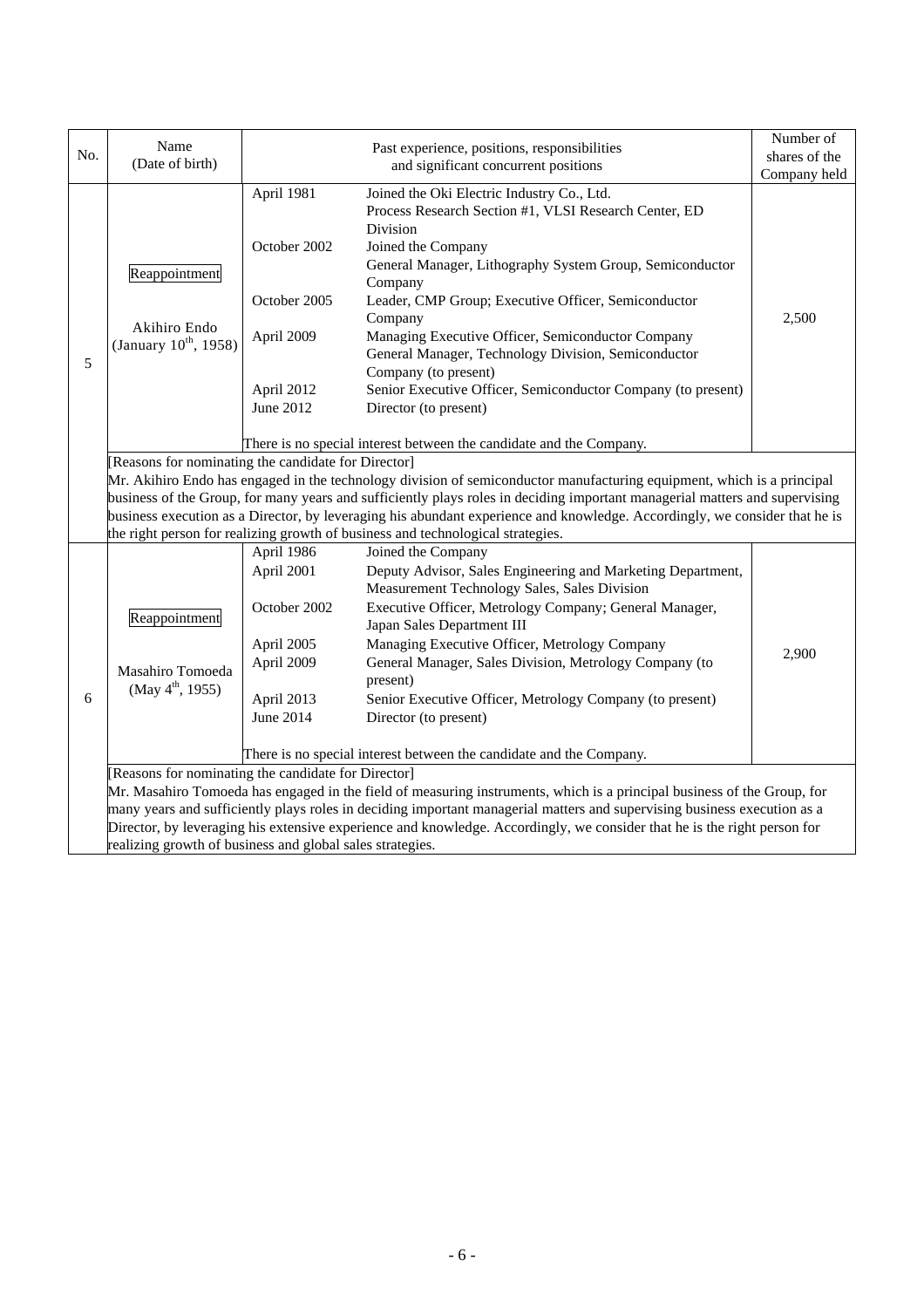|     | Name                                                                |                                                                                                                          |                                                                                                                                                                                                               | Number of     |  |  |  |
|-----|---------------------------------------------------------------------|--------------------------------------------------------------------------------------------------------------------------|---------------------------------------------------------------------------------------------------------------------------------------------------------------------------------------------------------------|---------------|--|--|--|
| No. | (Date of birth)                                                     |                                                                                                                          | Past experience, positions, responsibilities<br>and significant concurrent positions                                                                                                                          | shares of the |  |  |  |
|     |                                                                     |                                                                                                                          |                                                                                                                                                                                                               | Company held  |  |  |  |
|     | Reappointment                                                       | April 1981<br>October 2002                                                                                               | Joined the Oki Electric Industry Co., Ltd.<br>Process Research Section #1, VLSI Research Center, ED<br>Division<br>Joined the Company                                                                         |               |  |  |  |
|     |                                                                     |                                                                                                                          | General Manager, Lithography System Group, Semiconductor<br>Company                                                                                                                                           |               |  |  |  |
|     | Akihiro Endo                                                        | October 2005                                                                                                             | Leader, CMP Group; Executive Officer, Semiconductor<br>Company                                                                                                                                                | 2,500         |  |  |  |
| 5   | (January 10 <sup>th</sup> , 1958)                                   | April 2009                                                                                                               | Managing Executive Officer, Semiconductor Company<br>General Manager, Technology Division, Semiconductor<br>Company (to present)                                                                              |               |  |  |  |
|     |                                                                     | April 2012<br>June 2012                                                                                                  | Senior Executive Officer, Semiconductor Company (to present)<br>Director (to present)                                                                                                                         |               |  |  |  |
|     |                                                                     |                                                                                                                          |                                                                                                                                                                                                               |               |  |  |  |
|     | There is no special interest between the candidate and the Company. |                                                                                                                          |                                                                                                                                                                                                               |               |  |  |  |
|     | Reasons for nominating the candidate for Director]                  |                                                                                                                          |                                                                                                                                                                                                               |               |  |  |  |
|     |                                                                     |                                                                                                                          | Mr. Akihiro Endo has engaged in the technology division of semiconductor manufacturing equipment, which is a principal                                                                                        |               |  |  |  |
|     |                                                                     |                                                                                                                          | business of the Group, for many years and sufficiently plays roles in deciding important managerial matters and supervising                                                                                   |               |  |  |  |
|     |                                                                     |                                                                                                                          | business execution as a Director, by leveraging his abundant experience and knowledge. Accordingly, we consider that he is<br>the right person for realizing growth of business and technological strategies. |               |  |  |  |
|     |                                                                     | April 1986                                                                                                               | Joined the Company                                                                                                                                                                                            |               |  |  |  |
|     |                                                                     | April 2001                                                                                                               | Deputy Advisor, Sales Engineering and Marketing Department,                                                                                                                                                   |               |  |  |  |
|     | Reappointment                                                       |                                                                                                                          | Measurement Technology Sales, Sales Division                                                                                                                                                                  |               |  |  |  |
|     |                                                                     | October 2002                                                                                                             | Executive Officer, Metrology Company; General Manager,<br>Japan Sales Department III                                                                                                                          |               |  |  |  |
|     |                                                                     | April 2005                                                                                                               | Managing Executive Officer, Metrology Company                                                                                                                                                                 |               |  |  |  |
|     | Masahiro Tomoeda                                                    | April 2009                                                                                                               | General Manager, Sales Division, Metrology Company (to<br>present)                                                                                                                                            | 2,900         |  |  |  |
| 6   | (May $4^{\text{th}}$ , 1955)                                        | April 2013                                                                                                               | Senior Executive Officer, Metrology Company (to present)                                                                                                                                                      |               |  |  |  |
|     |                                                                     | June 2014                                                                                                                | Director (to present)                                                                                                                                                                                         |               |  |  |  |
|     |                                                                     | There is no special interest between the candidate and the Company.                                                      |                                                                                                                                                                                                               |               |  |  |  |
|     | [Reasons for nominating the candidate for Director]                 |                                                                                                                          |                                                                                                                                                                                                               |               |  |  |  |
|     |                                                                     |                                                                                                                          | Mr. Masahiro Tomoeda has engaged in the field of measuring instruments, which is a principal business of the Group, for                                                                                       |               |  |  |  |
|     |                                                                     |                                                                                                                          | many years and sufficiently plays roles in deciding important managerial matters and supervising business execution as a                                                                                      |               |  |  |  |
|     |                                                                     | Director, by leveraging his extensive experience and knowledge. Accordingly, we consider that he is the right person for |                                                                                                                                                                                                               |               |  |  |  |
|     | realizing growth of business and global sales strategies.           |                                                                                                                          |                                                                                                                                                                                                               |               |  |  |  |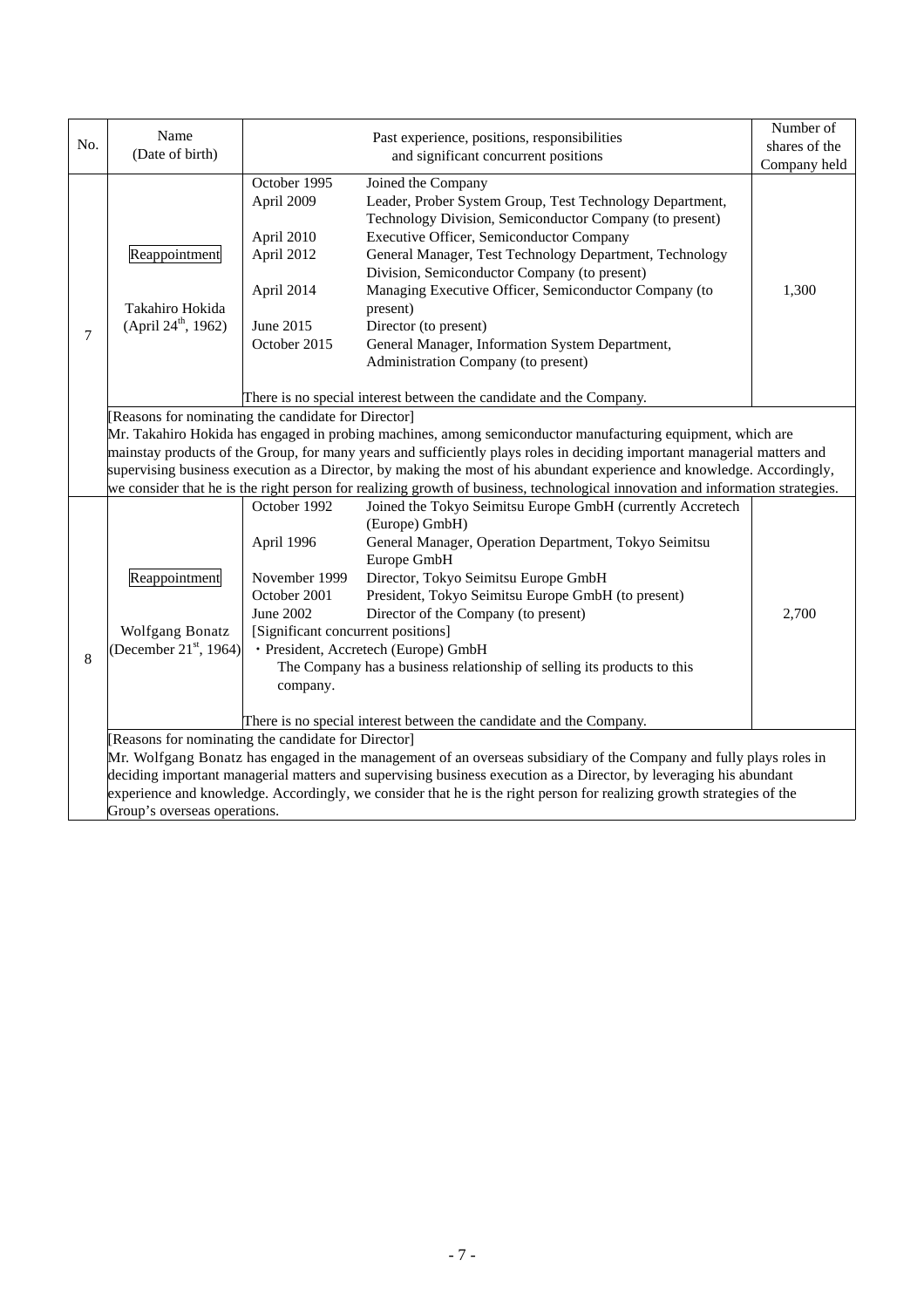|                                                                                                                                                                                                                                                           | Name                                                                                                                  |                                                                                                                            | Past experience, positions, responsibilities                                                                                                                                                                                                                                                                                                                                                                                                                                             | Number of     |  |  |
|-----------------------------------------------------------------------------------------------------------------------------------------------------------------------------------------------------------------------------------------------------------|-----------------------------------------------------------------------------------------------------------------------|----------------------------------------------------------------------------------------------------------------------------|------------------------------------------------------------------------------------------------------------------------------------------------------------------------------------------------------------------------------------------------------------------------------------------------------------------------------------------------------------------------------------------------------------------------------------------------------------------------------------------|---------------|--|--|
| No.                                                                                                                                                                                                                                                       | (Date of birth)                                                                                                       |                                                                                                                            | and significant concurrent positions                                                                                                                                                                                                                                                                                                                                                                                                                                                     | shares of the |  |  |
|                                                                                                                                                                                                                                                           |                                                                                                                       |                                                                                                                            |                                                                                                                                                                                                                                                                                                                                                                                                                                                                                          | Company held  |  |  |
| 7                                                                                                                                                                                                                                                         | Reappointment<br>Takahiro Hokida<br>(April 24 <sup>th</sup> , 1962)                                                   | October 1995<br>April 2009<br>April 2010<br>April 2012<br>April 2014<br>June 2015<br>October 2015                          | Joined the Company<br>Leader, Prober System Group, Test Technology Department,<br>Technology Division, Semiconductor Company (to present)<br>Executive Officer, Semiconductor Company<br>General Manager, Test Technology Department, Technology<br>Division, Semiconductor Company (to present)<br>Managing Executive Officer, Semiconductor Company (to<br>present)<br>Director (to present)<br>General Manager, Information System Department,<br>Administration Company (to present) | 1,300         |  |  |
|                                                                                                                                                                                                                                                           |                                                                                                                       |                                                                                                                            | There is no special interest between the candidate and the Company.                                                                                                                                                                                                                                                                                                                                                                                                                      |               |  |  |
|                                                                                                                                                                                                                                                           | [Reasons for nominating the candidate for Director]                                                                   |                                                                                                                            |                                                                                                                                                                                                                                                                                                                                                                                                                                                                                          |               |  |  |
|                                                                                                                                                                                                                                                           |                                                                                                                       |                                                                                                                            | Mr. Takahiro Hokida has engaged in probing machines, among semiconductor manufacturing equipment, which are                                                                                                                                                                                                                                                                                                                                                                              |               |  |  |
|                                                                                                                                                                                                                                                           |                                                                                                                       |                                                                                                                            | mainstay products of the Group, for many years and sufficiently plays roles in deciding important managerial matters and                                                                                                                                                                                                                                                                                                                                                                 |               |  |  |
| supervising business execution as a Director, by making the most of his abundant experience and knowledge. Accordingly,<br>we consider that he is the right person for realizing growth of business, technological innovation and information strategies. |                                                                                                                       |                                                                                                                            |                                                                                                                                                                                                                                                                                                                                                                                                                                                                                          |               |  |  |
|                                                                                                                                                                                                                                                           |                                                                                                                       |                                                                                                                            |                                                                                                                                                                                                                                                                                                                                                                                                                                                                                          |               |  |  |
| 8                                                                                                                                                                                                                                                         | Reappointment<br>Wolfgang Bonatz<br>(December 21 $\mathrm{^{st}}$ , 1964)                                             | October 1992<br>April 1996<br>November 1999<br>October 2001<br>June 2002<br>[Significant concurrent positions]<br>company. | Joined the Tokyo Seimitsu Europe GmbH (currently Accretech<br>(Europe) GmbH)<br>General Manager, Operation Department, Tokyo Seimitsu<br>Europe GmbH<br>Director, Tokyo Seimitsu Europe GmbH<br>President, Tokyo Seimitsu Europe GmbH (to present)<br>Director of the Company (to present)<br>· President, Accretech (Europe) GmbH<br>The Company has a business relationship of selling its products to this<br>There is no special interest between the candidate and the Company.     | 2,700         |  |  |
|                                                                                                                                                                                                                                                           | [Reasons for nominating the candidate for Director]                                                                   |                                                                                                                            |                                                                                                                                                                                                                                                                                                                                                                                                                                                                                          |               |  |  |
|                                                                                                                                                                                                                                                           |                                                                                                                       |                                                                                                                            | Mr. Wolfgang Bonatz has engaged in the management of an overseas subsidiary of the Company and fully plays roles in                                                                                                                                                                                                                                                                                                                                                                      |               |  |  |
|                                                                                                                                                                                                                                                           |                                                                                                                       |                                                                                                                            | deciding important managerial matters and supervising business execution as a Director, by leveraging his abundant                                                                                                                                                                                                                                                                                                                                                                       |               |  |  |
|                                                                                                                                                                                                                                                           | experience and knowledge. Accordingly, we consider that he is the right person for realizing growth strategies of the |                                                                                                                            |                                                                                                                                                                                                                                                                                                                                                                                                                                                                                          |               |  |  |
|                                                                                                                                                                                                                                                           | Group's overseas operations.                                                                                          |                                                                                                                            |                                                                                                                                                                                                                                                                                                                                                                                                                                                                                          |               |  |  |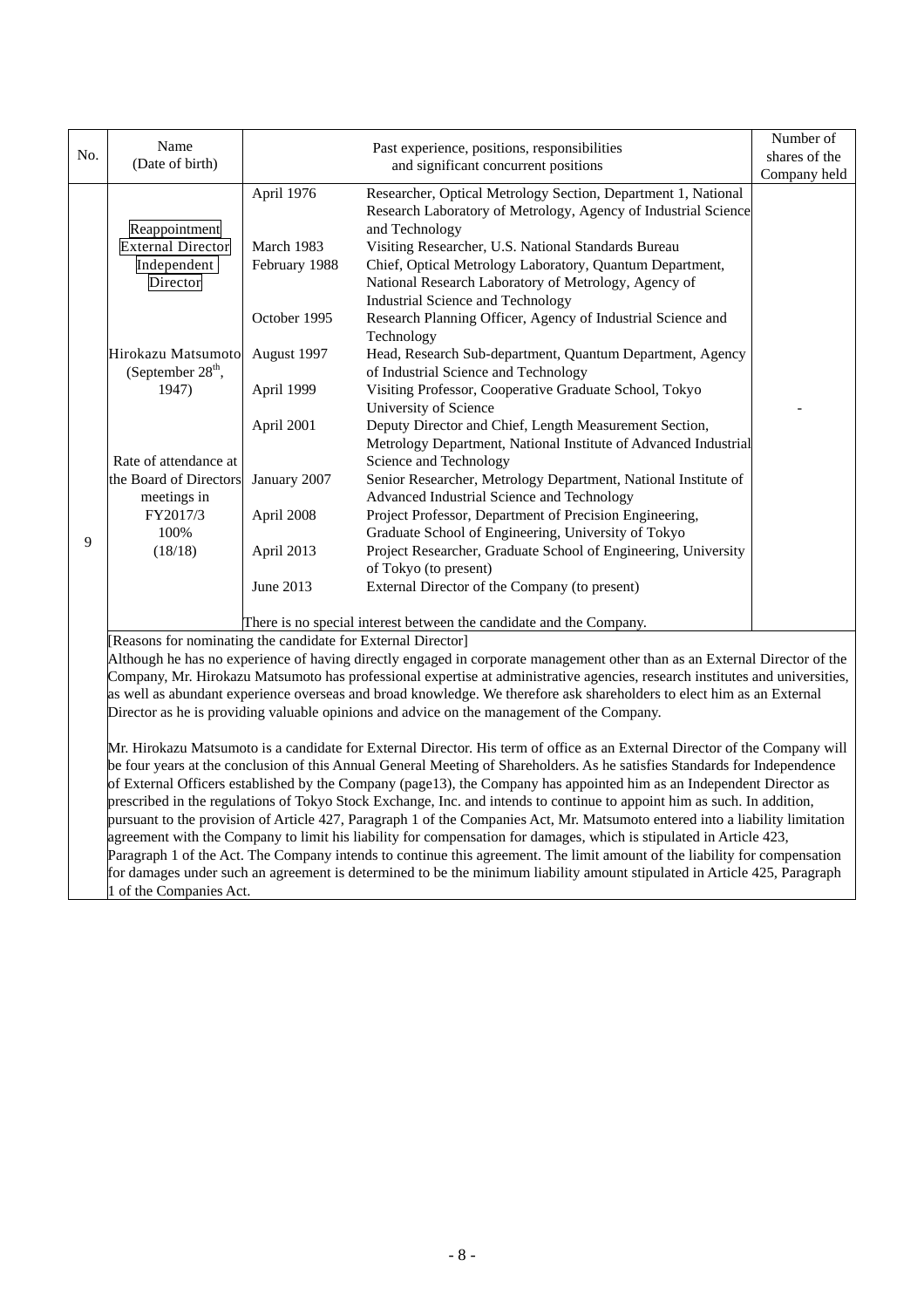|     | Name                                                                                                                                                                                       |               | Past experience, positions, responsibilities                                                                                  | Number of     |  |  |
|-----|--------------------------------------------------------------------------------------------------------------------------------------------------------------------------------------------|---------------|-------------------------------------------------------------------------------------------------------------------------------|---------------|--|--|
| No. | (Date of birth)                                                                                                                                                                            |               | and significant concurrent positions                                                                                          | shares of the |  |  |
|     |                                                                                                                                                                                            |               |                                                                                                                               | Company held  |  |  |
|     |                                                                                                                                                                                            | April 1976    | Researcher, Optical Metrology Section, Department 1, National                                                                 |               |  |  |
|     |                                                                                                                                                                                            |               | Research Laboratory of Metrology, Agency of Industrial Science                                                                |               |  |  |
|     | Reappointment                                                                                                                                                                              |               | and Technology                                                                                                                |               |  |  |
|     | <b>External Director</b>                                                                                                                                                                   | March 1983    | Visiting Researcher, U.S. National Standards Bureau                                                                           |               |  |  |
|     | Independent                                                                                                                                                                                | February 1988 | Chief, Optical Metrology Laboratory, Quantum Department,                                                                      |               |  |  |
|     | Director                                                                                                                                                                                   |               | National Research Laboratory of Metrology, Agency of                                                                          |               |  |  |
|     |                                                                                                                                                                                            |               | <b>Industrial Science and Technology</b>                                                                                      |               |  |  |
|     |                                                                                                                                                                                            | October 1995  | Research Planning Officer, Agency of Industrial Science and                                                                   |               |  |  |
|     |                                                                                                                                                                                            |               | Technology                                                                                                                    |               |  |  |
|     | Hirokazu Matsumoto                                                                                                                                                                         | August 1997   | Head, Research Sub-department, Quantum Department, Agency                                                                     |               |  |  |
|     | (September 28 <sup>th</sup> ,                                                                                                                                                              |               | of Industrial Science and Technology                                                                                          |               |  |  |
|     | 1947)                                                                                                                                                                                      | April 1999    | Visiting Professor, Cooperative Graduate School, Tokyo                                                                        |               |  |  |
|     |                                                                                                                                                                                            |               | University of Science                                                                                                         |               |  |  |
|     |                                                                                                                                                                                            | April 2001    | Deputy Director and Chief, Length Measurement Section,                                                                        |               |  |  |
|     |                                                                                                                                                                                            |               | Metrology Department, National Institute of Advanced Industrial                                                               |               |  |  |
|     | Rate of attendance at                                                                                                                                                                      |               | Science and Technology                                                                                                        |               |  |  |
|     | the Board of Directors                                                                                                                                                                     | January 2007  | Senior Researcher, Metrology Department, National Institute of                                                                |               |  |  |
|     | meetings in                                                                                                                                                                                |               | Advanced Industrial Science and Technology                                                                                    |               |  |  |
|     | FY2017/3                                                                                                                                                                                   | April 2008    | Project Professor, Department of Precision Engineering,                                                                       |               |  |  |
|     | 100%                                                                                                                                                                                       |               | Graduate School of Engineering, University of Tokyo                                                                           |               |  |  |
| 9   | (18/18)                                                                                                                                                                                    | April 2013    | Project Researcher, Graduate School of Engineering, University                                                                |               |  |  |
|     |                                                                                                                                                                                            |               | of Tokyo (to present)                                                                                                         |               |  |  |
|     |                                                                                                                                                                                            | June 2013     | External Director of the Company (to present)                                                                                 |               |  |  |
|     |                                                                                                                                                                                            |               |                                                                                                                               |               |  |  |
|     |                                                                                                                                                                                            |               | There is no special interest between the candidate and the Company.                                                           |               |  |  |
|     |                                                                                                                                                                                            |               |                                                                                                                               |               |  |  |
|     | [Reasons for nominating the candidate for External Director]<br>Although he has no experience of having directly engaged in corporate management other than as an External Director of the |               |                                                                                                                               |               |  |  |
|     |                                                                                                                                                                                            |               | Company, Mr. Hirokazu Matsumoto has professional expertise at administrative agencies, research institutes and universities,  |               |  |  |
|     |                                                                                                                                                                                            |               | as well as abundant experience overseas and broad knowledge. We therefore ask shareholders to elect him as an External        |               |  |  |
|     |                                                                                                                                                                                            |               | Director as he is providing valuable opinions and advice on the management of the Company.                                    |               |  |  |
|     |                                                                                                                                                                                            |               |                                                                                                                               |               |  |  |
|     |                                                                                                                                                                                            |               |                                                                                                                               |               |  |  |
|     |                                                                                                                                                                                            |               | Mr. Hirokazu Matsumoto is a candidate for External Director. His term of office as an External Director of the Company will   |               |  |  |
|     |                                                                                                                                                                                            |               | be four years at the conclusion of this Annual General Meeting of Shareholders. As he satisfies Standards for Independence    |               |  |  |
|     |                                                                                                                                                                                            |               | of External Officers established by the Company (page13), the Company has appointed him as an Independent Director as         |               |  |  |
|     |                                                                                                                                                                                            |               | prescribed in the regulations of Tokyo Stock Exchange, Inc. and intends to continue to appoint him as such. In addition,      |               |  |  |
|     |                                                                                                                                                                                            |               | pursuant to the provision of Article 427, Paragraph 1 of the Companies Act, Mr. Matsumoto entered into a liability limitation |               |  |  |
|     | agreement with the Company to limit his liability for compensation for damages, which is stipulated in Article 423,                                                                        |               |                                                                                                                               |               |  |  |

Paragraph 1 of the Act. The Company intends to continue this agreement. The limit amount of the liability for compensation for damages under such an agreement is determined to be the minimum liability amount stipulated in Article 425, Paragraph 1 of the Companies Act.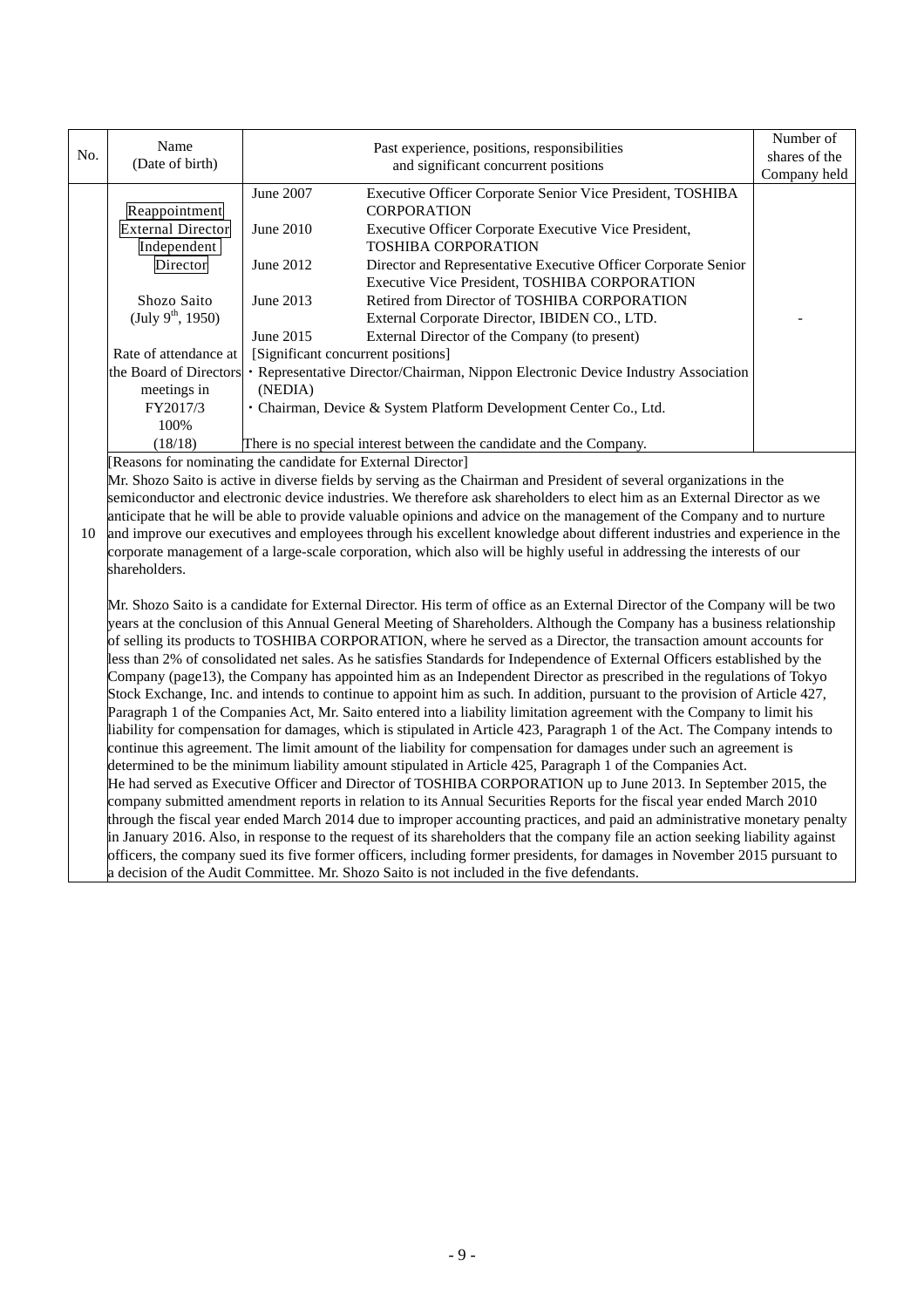|                                                                                                                    | Name                                                                                                                                                                                                                                                    |                                      |                                                                                                                                 | Number of     |  |  |  |
|--------------------------------------------------------------------------------------------------------------------|---------------------------------------------------------------------------------------------------------------------------------------------------------------------------------------------------------------------------------------------------------|--------------------------------------|---------------------------------------------------------------------------------------------------------------------------------|---------------|--|--|--|
| No.                                                                                                                | (Date of birth)                                                                                                                                                                                                                                         |                                      | Past experience, positions, responsibilities                                                                                    | shares of the |  |  |  |
|                                                                                                                    |                                                                                                                                                                                                                                                         | and significant concurrent positions |                                                                                                                                 | Company held  |  |  |  |
|                                                                                                                    |                                                                                                                                                                                                                                                         | June 2007                            | Executive Officer Corporate Senior Vice President, TOSHIBA                                                                      |               |  |  |  |
|                                                                                                                    | Reappointment                                                                                                                                                                                                                                           |                                      | <b>CORPORATION</b>                                                                                                              |               |  |  |  |
|                                                                                                                    | <b>External Director</b>                                                                                                                                                                                                                                | June 2010                            | Executive Officer Corporate Executive Vice President,                                                                           |               |  |  |  |
|                                                                                                                    | Independent                                                                                                                                                                                                                                             |                                      | <b>TOSHIBA CORPORATION</b>                                                                                                      |               |  |  |  |
|                                                                                                                    | Director                                                                                                                                                                                                                                                | June 2012                            | Director and Representative Executive Officer Corporate Senior                                                                  |               |  |  |  |
|                                                                                                                    |                                                                                                                                                                                                                                                         |                                      | Executive Vice President, TOSHIBA CORPORATION                                                                                   |               |  |  |  |
|                                                                                                                    | Shozo Saito                                                                                                                                                                                                                                             | June 2013                            | Retired from Director of TOSHIBA CORPORATION                                                                                    |               |  |  |  |
|                                                                                                                    | (July $9^{th}$ , 1950)                                                                                                                                                                                                                                  |                                      | External Corporate Director, IBIDEN CO., LTD.                                                                                   |               |  |  |  |
|                                                                                                                    |                                                                                                                                                                                                                                                         | June 2015                            | External Director of the Company (to present)                                                                                   |               |  |  |  |
|                                                                                                                    | Rate of attendance at                                                                                                                                                                                                                                   | [Significant concurrent positions]   |                                                                                                                                 |               |  |  |  |
|                                                                                                                    | the Board of Directors                                                                                                                                                                                                                                  |                                      | · Representative Director/Chairman, Nippon Electronic Device Industry Association                                               |               |  |  |  |
|                                                                                                                    | meetings in                                                                                                                                                                                                                                             | (NEDIA)                              |                                                                                                                                 |               |  |  |  |
|                                                                                                                    | FY2017/3                                                                                                                                                                                                                                                |                                      | · Chairman, Device & System Platform Development Center Co., Ltd.                                                               |               |  |  |  |
|                                                                                                                    | 100%                                                                                                                                                                                                                                                    |                                      |                                                                                                                                 |               |  |  |  |
|                                                                                                                    | (18/18)<br>There is no special interest between the candidate and the Company.                                                                                                                                                                          |                                      |                                                                                                                                 |               |  |  |  |
|                                                                                                                    | [Reasons for nominating the candidate for External Director]                                                                                                                                                                                            |                                      |                                                                                                                                 |               |  |  |  |
|                                                                                                                    | Mr. Shozo Saito is active in diverse fields by serving as the Chairman and President of several organizations in the                                                                                                                                    |                                      |                                                                                                                                 |               |  |  |  |
|                                                                                                                    | semiconductor and electronic device industries. We therefore ask shareholders to elect him as an External Director as we                                                                                                                                |                                      |                                                                                                                                 |               |  |  |  |
| 10                                                                                                                 | anticipate that he will be able to provide valuable opinions and advice on the management of the Company and to nurture<br>and improve our executives and employees through his excellent knowledge about different industries and experience in the    |                                      |                                                                                                                                 |               |  |  |  |
|                                                                                                                    | corporate management of a large-scale corporation, which also will be highly useful in addressing the interests of our                                                                                                                                  |                                      |                                                                                                                                 |               |  |  |  |
|                                                                                                                    | shareholders.                                                                                                                                                                                                                                           |                                      |                                                                                                                                 |               |  |  |  |
|                                                                                                                    |                                                                                                                                                                                                                                                         |                                      |                                                                                                                                 |               |  |  |  |
|                                                                                                                    |                                                                                                                                                                                                                                                         |                                      |                                                                                                                                 |               |  |  |  |
|                                                                                                                    | Mr. Shozo Saito is a candidate for External Director. His term of office as an External Director of the Company will be two<br>years at the conclusion of this Annual General Meeting of Shareholders. Although the Company has a business relationship |                                      |                                                                                                                                 |               |  |  |  |
|                                                                                                                    |                                                                                                                                                                                                                                                         |                                      | of selling its products to TOSHIBA CORPORATION, where he served as a Director, the transaction amount accounts for              |               |  |  |  |
|                                                                                                                    |                                                                                                                                                                                                                                                         |                                      | less than 2% of consolidated net sales. As he satisfies Standards for Independence of External Officers established by the      |               |  |  |  |
|                                                                                                                    |                                                                                                                                                                                                                                                         |                                      | Company (page13), the Company has appointed him as an Independent Director as prescribed in the regulations of Tokyo            |               |  |  |  |
|                                                                                                                    |                                                                                                                                                                                                                                                         |                                      | Stock Exchange, Inc. and intends to continue to appoint him as such. In addition, pursuant to the provision of Article 427,     |               |  |  |  |
|                                                                                                                    | Paragraph 1 of the Companies Act, Mr. Saito entered into a liability limitation agreement with the Company to limit his                                                                                                                                 |                                      |                                                                                                                                 |               |  |  |  |
|                                                                                                                    | liability for compensation for damages, which is stipulated in Article 423, Paragraph 1 of the Act. The Company intends to                                                                                                                              |                                      |                                                                                                                                 |               |  |  |  |
| continue this agreement. The limit amount of the liability for compensation for damages under such an agreement is |                                                                                                                                                                                                                                                         |                                      |                                                                                                                                 |               |  |  |  |
|                                                                                                                    |                                                                                                                                                                                                                                                         |                                      | determined to be the minimum liability amount stipulated in Article 425, Paragraph 1 of the Companies Act.                      |               |  |  |  |
|                                                                                                                    |                                                                                                                                                                                                                                                         |                                      | He had served as Executive Officer and Director of TOSHIBA CORPORATION up to June 2013. In September 2015, the                  |               |  |  |  |
|                                                                                                                    |                                                                                                                                                                                                                                                         |                                      | company submitted amendment reports in relation to its Annual Securities Reports for the fiscal year ended March 2010           |               |  |  |  |
|                                                                                                                    |                                                                                                                                                                                                                                                         |                                      | through the fiscal year ended March 2014 due to improper accounting practices, and paid an administrative monetary penalty      |               |  |  |  |
|                                                                                                                    |                                                                                                                                                                                                                                                         |                                      | in January 2016. Also, in response to the request of its shareholders that the company file an action seeking liability against |               |  |  |  |
|                                                                                                                    |                                                                                                                                                                                                                                                         |                                      | officers, the company sued its five former officers, including former presidents, for damages in November 2015 pursuant to      |               |  |  |  |
| a decision of the Audit Committee. Mr. Shozo Saito is not included in the five defendants.                         |                                                                                                                                                                                                                                                         |                                      |                                                                                                                                 |               |  |  |  |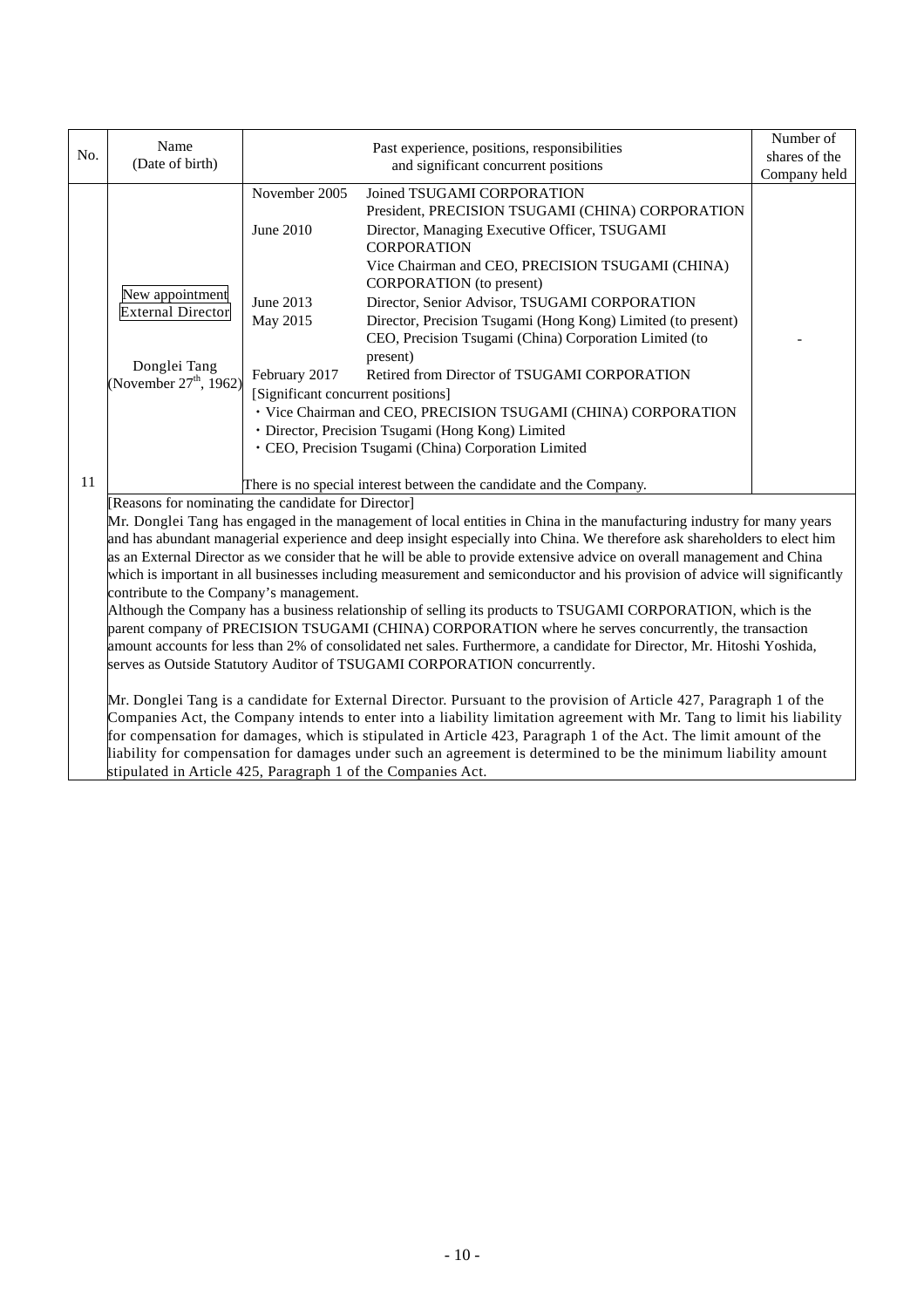|     | Name                                                                     |                                    |                                                                                                                             | Number of     |
|-----|--------------------------------------------------------------------------|------------------------------------|-----------------------------------------------------------------------------------------------------------------------------|---------------|
| No. | (Date of birth)                                                          |                                    | Past experience, positions, responsibilities<br>and significant concurrent positions                                        | shares of the |
|     |                                                                          |                                    |                                                                                                                             | Company held  |
|     |                                                                          | November 2005                      | Joined TSUGAMI CORPORATION                                                                                                  |               |
|     |                                                                          |                                    | President, PRECISION TSUGAMI (CHINA) CORPORATION                                                                            |               |
|     |                                                                          | June 2010                          | Director, Managing Executive Officer, TSUGAMI                                                                               |               |
|     |                                                                          |                                    | <b>CORPORATION</b>                                                                                                          |               |
|     |                                                                          |                                    | Vice Chairman and CEO, PRECISION TSUGAMI (CHINA)                                                                            |               |
|     | New appointment                                                          |                                    | <b>CORPORATION</b> (to present)                                                                                             |               |
|     | <b>External Director</b>                                                 | June 2013                          | Director, Senior Advisor, TSUGAMI CORPORATION                                                                               |               |
|     |                                                                          | May 2015                           | Director, Precision Tsugami (Hong Kong) Limited (to present)                                                                |               |
|     |                                                                          |                                    | CEO, Precision Tsugami (China) Corporation Limited (to                                                                      |               |
|     | Donglei Tang                                                             |                                    | present)                                                                                                                    |               |
|     | (November $27^{\text{th}}$ , 1962)                                       | February 2017                      | Retired from Director of TSUGAMI CORPORATION                                                                                |               |
|     |                                                                          | [Significant concurrent positions] |                                                                                                                             |               |
|     |                                                                          |                                    | · Vice Chairman and CEO, PRECISION TSUGAMI (CHINA) CORPORATION                                                              |               |
|     |                                                                          |                                    | · Director, Precision Tsugami (Hong Kong) Limited                                                                           |               |
|     |                                                                          |                                    | · CEO, Precision Tsugami (China) Corporation Limited                                                                        |               |
| 11  |                                                                          |                                    | There is no special interest between the candidate and the Company.                                                         |               |
|     | [Reasons for nominating the candidate for Director]                      |                                    |                                                                                                                             |               |
|     |                                                                          |                                    | Mr. Donglei Tang has engaged in the management of local entities in China in the manufacturing industry for many years      |               |
|     |                                                                          |                                    | and has abundant managerial experience and deep insight especially into China. We therefore ask shareholders to elect him   |               |
|     |                                                                          |                                    | as an External Director as we consider that he will be able to provide extensive advice on overall management and China     |               |
|     |                                                                          |                                    | which is important in all businesses including measurement and semiconductor and his provision of advice will significantly |               |
|     | contribute to the Company's management.                                  |                                    |                                                                                                                             |               |
|     |                                                                          |                                    | Although the Company has a business relationship of selling its products to TSUGAMI CORPORATION, which is the               |               |
|     |                                                                          |                                    | parent company of PRECISION TSUGAMI (CHINA) CORPORATION where he serves concurrently, the transaction                       |               |
|     |                                                                          |                                    | amount accounts for less than 2% of consolidated net sales. Furthermore, a candidate for Director, Mr. Hitoshi Yoshida,     |               |
|     | serves as Outside Statutory Auditor of TSUGAMI CORPORATION concurrently. |                                    |                                                                                                                             |               |
|     |                                                                          |                                    |                                                                                                                             |               |
|     |                                                                          |                                    | Mr. Donglei Tang is a candidate for External Director. Pursuant to the provision of Article 427, Paragraph 1 of the         |               |
|     |                                                                          |                                    | Companies Act, the Company intends to enter into a liability limitation agreement with Mr. Tang to limit his liability      |               |
|     |                                                                          |                                    | for compensation for damages, which is stipulated in Article 423, Paragraph 1 of the Act. The limit amount of the           |               |
|     |                                                                          |                                    | liability for compensation for damages under such an agreement is determined to be the minimum liability amount             |               |
|     | stipulated in Article 425, Paragraph 1 of the Companies Act.             |                                    |                                                                                                                             |               |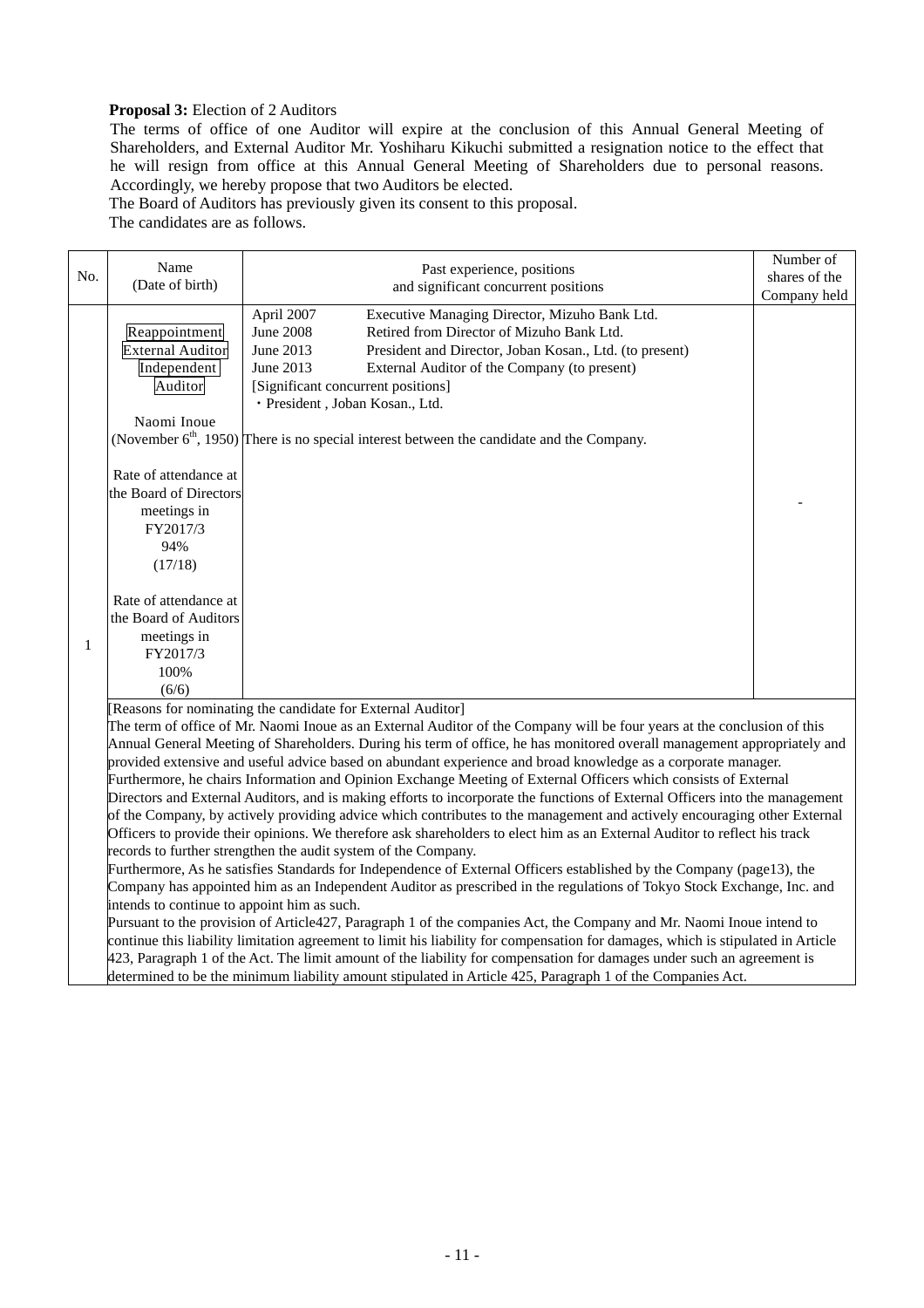## **Proposal 3:** Election of 2 Auditors

The terms of office of one Auditor will expire at the conclusion of this Annual General Meeting of Shareholders, and External Auditor Mr. Yoshiharu Kikuchi submitted a resignation notice to the effect that he will resign from office at this Annual General Meeting of Shareholders due to personal reasons. Accordingly, we hereby propose that two Auditors be elected.

The Board of Auditors has previously given its consent to this proposal.

The candidates are as follows.

|  | No.          | Name<br>(Date of birth)                                                                                                                                                                                                                                                                                                                                                                                                                                                                                                                                                                                                                                                                                                                                                                                                                                                                                                                                                                                                                                                                                                                                                                                                                                                                                                                                                                                                                                | Past experience, positions<br>and significant concurrent positions                                                                                                                                                                                                                                                                                                                                                                        | Number of<br>shares of the |  |  |
|--|--------------|--------------------------------------------------------------------------------------------------------------------------------------------------------------------------------------------------------------------------------------------------------------------------------------------------------------------------------------------------------------------------------------------------------------------------------------------------------------------------------------------------------------------------------------------------------------------------------------------------------------------------------------------------------------------------------------------------------------------------------------------------------------------------------------------------------------------------------------------------------------------------------------------------------------------------------------------------------------------------------------------------------------------------------------------------------------------------------------------------------------------------------------------------------------------------------------------------------------------------------------------------------------------------------------------------------------------------------------------------------------------------------------------------------------------------------------------------------|-------------------------------------------------------------------------------------------------------------------------------------------------------------------------------------------------------------------------------------------------------------------------------------------------------------------------------------------------------------------------------------------------------------------------------------------|----------------------------|--|--|
|  |              | Reappointment<br><b>External Auditor</b><br>Independent<br>Auditor<br>Naomi Inoue                                                                                                                                                                                                                                                                                                                                                                                                                                                                                                                                                                                                                                                                                                                                                                                                                                                                                                                                                                                                                                                                                                                                                                                                                                                                                                                                                                      | Executive Managing Director, Mizuho Bank Ltd.<br>April 2007<br><b>June 2008</b><br>Retired from Director of Mizuho Bank Ltd.<br>June 2013<br>President and Director, Joban Kosan., Ltd. (to present)<br>June 2013<br>External Auditor of the Company (to present)<br>[Significant concurrent positions]<br>· President, Joban Kosan., Ltd.<br>(November $6th$ , 1950) There is no special interest between the candidate and the Company. | Company held               |  |  |
|  |              | Rate of attendance at<br>the Board of Directors<br>meetings in<br>FY2017/3<br>94%<br>(17/18)                                                                                                                                                                                                                                                                                                                                                                                                                                                                                                                                                                                                                                                                                                                                                                                                                                                                                                                                                                                                                                                                                                                                                                                                                                                                                                                                                           |                                                                                                                                                                                                                                                                                                                                                                                                                                           |                            |  |  |
|  | $\mathbf{1}$ | Rate of attendance at<br>the Board of Auditors<br>meetings in<br>FY2017/3<br>100%                                                                                                                                                                                                                                                                                                                                                                                                                                                                                                                                                                                                                                                                                                                                                                                                                                                                                                                                                                                                                                                                                                                                                                                                                                                                                                                                                                      |                                                                                                                                                                                                                                                                                                                                                                                                                                           |                            |  |  |
|  |              | (6/6)<br>[Reasons for nominating the candidate for External Auditor]<br>The term of office of Mr. Naomi Inoue as an External Auditor of the Company will be four years at the conclusion of this<br>Annual General Meeting of Shareholders. During his term of office, he has monitored overall management appropriately and<br>provided extensive and useful advice based on abundant experience and broad knowledge as a corporate manager.<br>Furthermore, he chairs Information and Opinion Exchange Meeting of External Officers which consists of External<br>Directors and External Auditors, and is making efforts to incorporate the functions of External Officers into the management<br>of the Company, by actively providing advice which contributes to the management and actively encouraging other External<br>Officers to provide their opinions. We therefore ask shareholders to elect him as an External Auditor to reflect his track<br>records to further strengthen the audit system of the Company.<br>Furthermore, As he satisfies Standards for Independence of External Officers established by the Company (page13), the<br>Company has appointed him as an Independent Auditor as prescribed in the regulations of Tokyo Stock Exchange, Inc. and<br>intends to continue to appoint him as such.<br>Pursuant to the provision of Article427, Paragraph 1 of the companies Act, the Company and Mr. Naomi Inoue intend to |                                                                                                                                                                                                                                                                                                                                                                                                                                           |                            |  |  |

continue this liability limitation agreement to limit his liability for compensation for damages, which is stipulated in Article 423, Paragraph 1 of the Act. The limit amount of the liability for compensation for damages under such an agreement is determined to be the minimum liability amount stipulated in Article 425, Paragraph 1 of the Companies Act.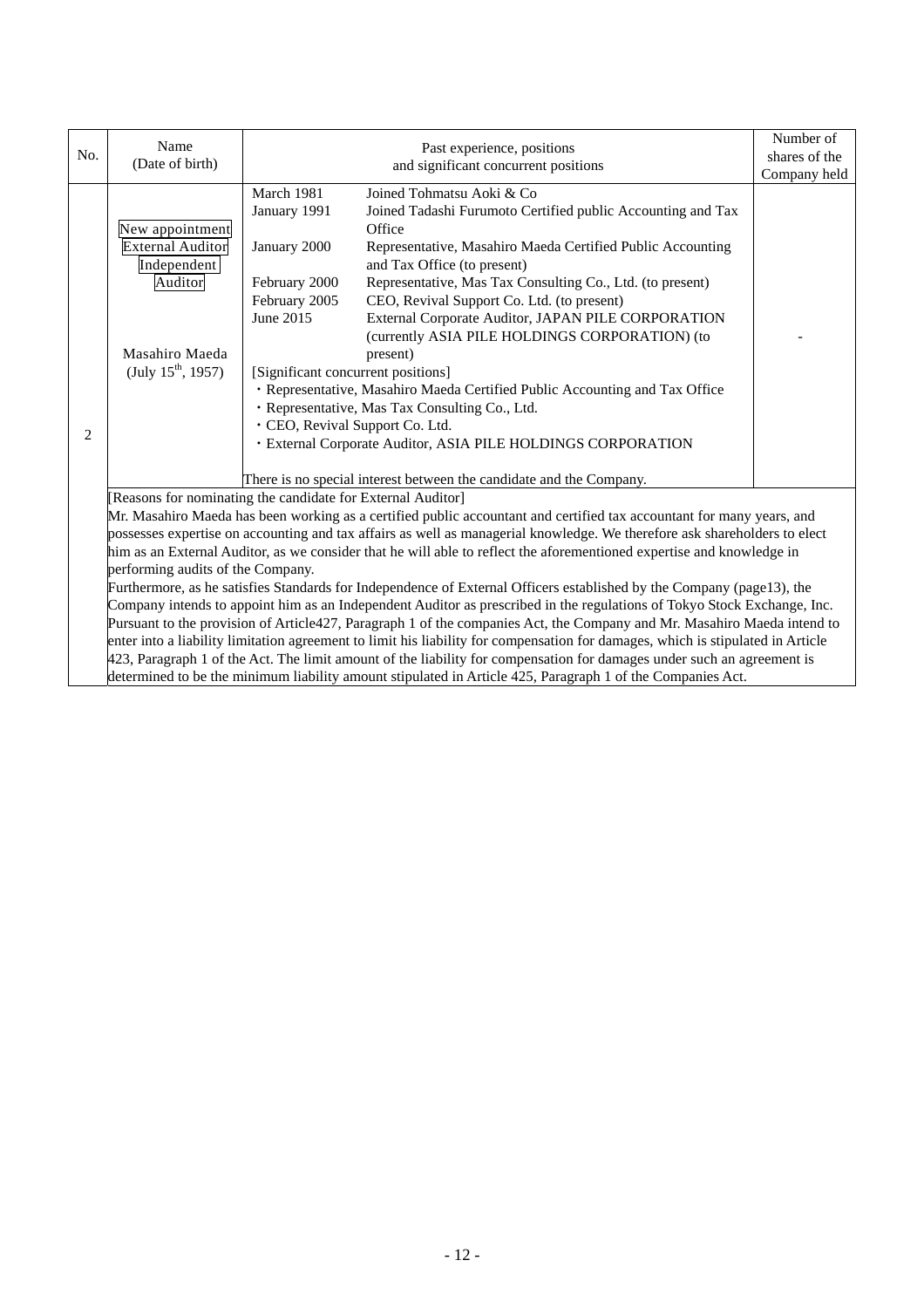| No.            | Name<br>(Date of birth)                                                                                                                                                              |                                                                                                                        | Past experience, positions<br>and significant concurrent positions<br>Company held                                                                                                                                                                                                                                                                                                                                                                                                                                                                                                                    |  |  |  |
|----------------|--------------------------------------------------------------------------------------------------------------------------------------------------------------------------------------|------------------------------------------------------------------------------------------------------------------------|-------------------------------------------------------------------------------------------------------------------------------------------------------------------------------------------------------------------------------------------------------------------------------------------------------------------------------------------------------------------------------------------------------------------------------------------------------------------------------------------------------------------------------------------------------------------------------------------------------|--|--|--|
|                | New appointment<br><b>External Auditor</b><br>Independent<br>Auditor<br>Masahiro Maeda<br>(July $15^{\text{th}}$ , 1957)                                                             | March 1981<br>January 1991<br>January 2000<br>February 2000<br>February 2005<br>June 2015                              | Joined Tohmatsu Aoki & Co<br>Joined Tadashi Furumoto Certified public Accounting and Tax<br>Office<br>Representative, Masahiro Maeda Certified Public Accounting<br>and Tax Office (to present)<br>Representative, Mas Tax Consulting Co., Ltd. (to present)<br>CEO, Revival Support Co. Ltd. (to present)<br>External Corporate Auditor, JAPAN PILE CORPORATION<br>(currently ASIA PILE HOLDINGS CORPORATION) (to<br>present)<br>[Significant concurrent positions]<br>· Representative, Masahiro Maeda Certified Public Accounting and Tax Office<br>· Representative, Mas Tax Consulting Co., Ltd. |  |  |  |
| $\overline{c}$ |                                                                                                                                                                                      |                                                                                                                        | · CEO, Revival Support Co. Ltd.<br>· External Corporate Auditor, ASIA PILE HOLDINGS CORPORATION<br>There is no special interest between the candidate and the Company.                                                                                                                                                                                                                                                                                                                                                                                                                                |  |  |  |
|                |                                                                                                                                                                                      |                                                                                                                        |                                                                                                                                                                                                                                                                                                                                                                                                                                                                                                                                                                                                       |  |  |  |
|                | [Reasons for nominating the candidate for External Auditor]<br>Mr. Masahiro Maeda has been working as a certified public accountant and certified tax accountant for many years, and |                                                                                                                        |                                                                                                                                                                                                                                                                                                                                                                                                                                                                                                                                                                                                       |  |  |  |
|                | possesses expertise on accounting and tax affairs as well as managerial knowledge. We therefore ask shareholders to elect                                                            |                                                                                                                        |                                                                                                                                                                                                                                                                                                                                                                                                                                                                                                                                                                                                       |  |  |  |
|                | him as an External Auditor, as we consider that he will able to reflect the aforementioned expertise and knowledge in                                                                |                                                                                                                        |                                                                                                                                                                                                                                                                                                                                                                                                                                                                                                                                                                                                       |  |  |  |
|                | performing audits of the Company.                                                                                                                                                    |                                                                                                                        |                                                                                                                                                                                                                                                                                                                                                                                                                                                                                                                                                                                                       |  |  |  |
|                | Furthermore, as he satisfies Standards for Independence of External Officers established by the Company (page13), the                                                                |                                                                                                                        |                                                                                                                                                                                                                                                                                                                                                                                                                                                                                                                                                                                                       |  |  |  |
|                |                                                                                                                                                                                      |                                                                                                                        | Company intends to appoint him as an Independent Auditor as prescribed in the regulations of Tokyo Stock Exchange, Inc.                                                                                                                                                                                                                                                                                                                                                                                                                                                                               |  |  |  |
|                |                                                                                                                                                                                      |                                                                                                                        | Pursuant to the provision of Article427, Paragraph 1 of the companies Act, the Company and Mr. Masahiro Maeda intend to                                                                                                                                                                                                                                                                                                                                                                                                                                                                               |  |  |  |
|                |                                                                                                                                                                                      |                                                                                                                        | enter into a liability limitation agreement to limit his liability for compensation for damages, which is stipulated in Article                                                                                                                                                                                                                                                                                                                                                                                                                                                                       |  |  |  |
|                |                                                                                                                                                                                      | 423, Paragraph 1 of the Act. The limit amount of the liability for compensation for damages under such an agreement is |                                                                                                                                                                                                                                                                                                                                                                                                                                                                                                                                                                                                       |  |  |  |
|                |                                                                                                                                                                                      |                                                                                                                        | determined to be the minimum liability amount stipulated in Article 425, Paragraph 1 of the Companies Act.                                                                                                                                                                                                                                                                                                                                                                                                                                                                                            |  |  |  |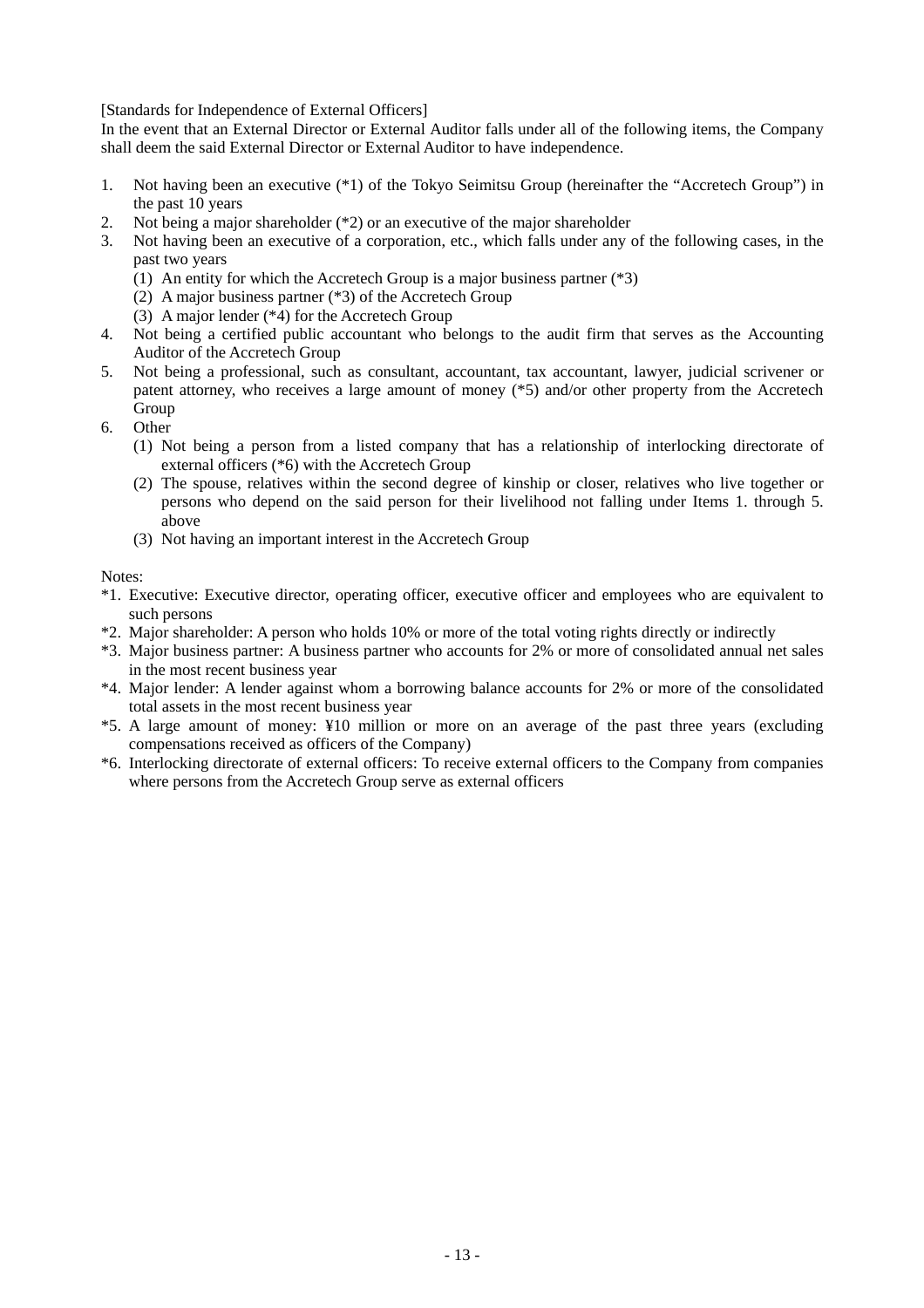[Standards for Independence of External Officers]

In the event that an External Director or External Auditor falls under all of the following items, the Company shall deem the said External Director or External Auditor to have independence.

- 1. Not having been an executive (\*1) of the Tokyo Seimitsu Group (hereinafter the "Accretech Group") in the past 10 years
- 2. Not being a major shareholder  $(*2)$  or an executive of the major shareholder 3. Not having been an executive of a corporation, etc., which falls under any c
- 3. Not having been an executive of a corporation, etc., which falls under any of the following cases, in the past two years
	- (1) An entity for which the Accretech Group is a major business partner (\*3)
	- (2) A major business partner (\*3) of the Accretech Group
	- (3) A major lender (\*4) for the Accretech Group
- 4. Not being a certified public accountant who belongs to the audit firm that serves as the Accounting Auditor of the Accretech Group
- 5. Not being a professional, such as consultant, accountant, tax accountant, lawyer, judicial scrivener or patent attorney, who receives a large amount of money (\*5) and/or other property from the Accretech Group
- 6. Other
	- (1) Not being a person from a listed company that has a relationship of interlocking directorate of external officers (\*6) with the Accretech Group
	- (2) The spouse, relatives within the second degree of kinship or closer, relatives who live together or persons who depend on the said person for their livelihood not falling under Items 1. through 5. above
	- (3) Not having an important interest in the Accretech Group

Notes:

- \*1. Executive: Executive director, operating officer, executive officer and employees who are equivalent to such persons
- \*2. Major shareholder: A person who holds 10% or more of the total voting rights directly or indirectly
- \*3. Major business partner: A business partner who accounts for 2% or more of consolidated annual net sales in the most recent business year
- \*4. Major lender: A lender against whom a borrowing balance accounts for 2% or more of the consolidated total assets in the most recent business year
- \*5. A large amount of money: ¥10 million or more on an average of the past three years (excluding compensations received as officers of the Company)
- \*6. Interlocking directorate of external officers: To receive external officers to the Company from companies where persons from the Accretech Group serve as external officers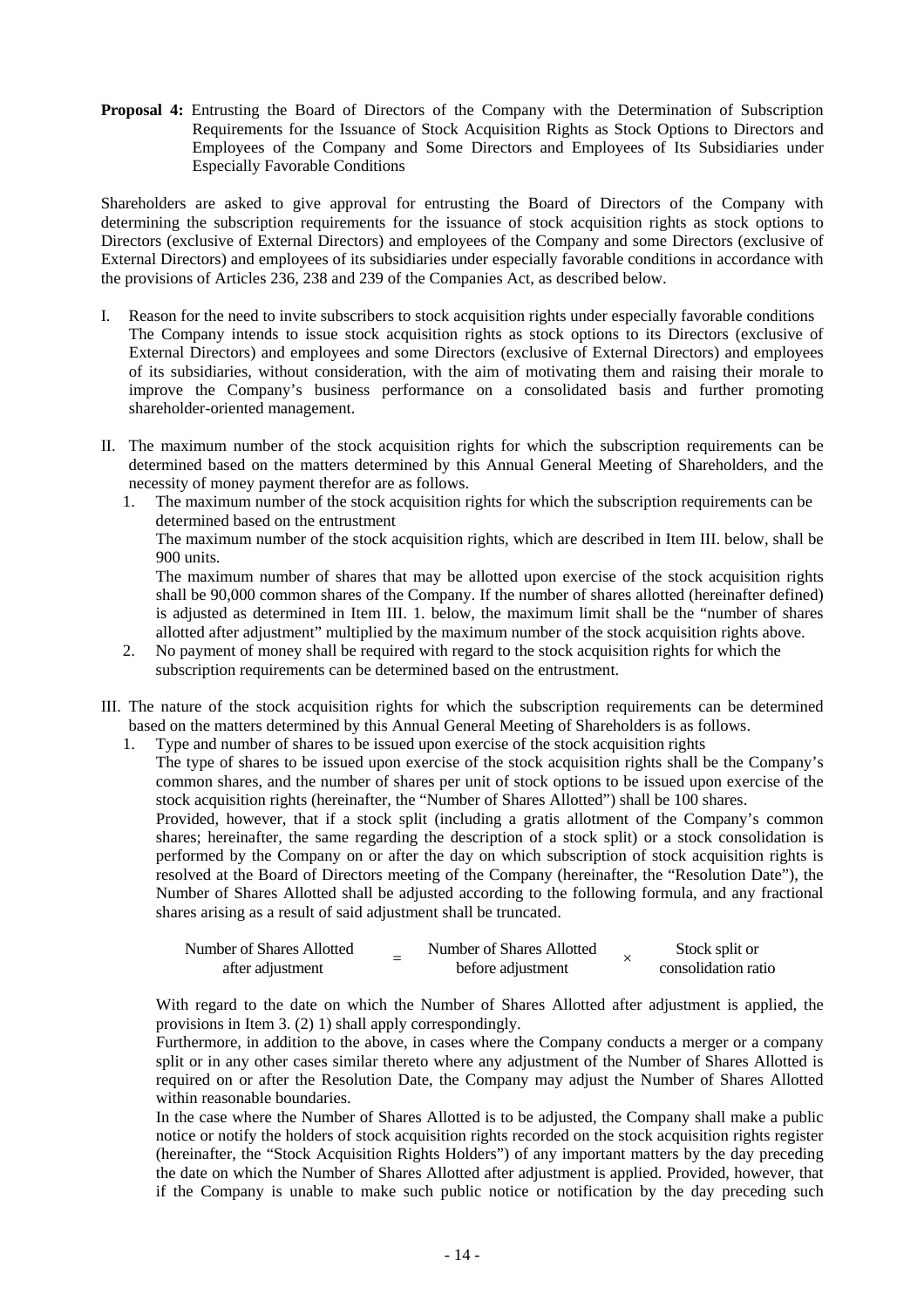**Proposal 4:** Entrusting the Board of Directors of the Company with the Determination of Subscription Requirements for the Issuance of Stock Acquisition Rights as Stock Options to Directors and Employees of the Company and Some Directors and Employees of Its Subsidiaries under Especially Favorable Conditions

Shareholders are asked to give approval for entrusting the Board of Directors of the Company with determining the subscription requirements for the issuance of stock acquisition rights as stock options to Directors (exclusive of External Directors) and employees of the Company and some Directors (exclusive of External Directors) and employees of its subsidiaries under especially favorable conditions in accordance with the provisions of Articles 236, 238 and 239 of the Companies Act, as described below.

- I. Reason for the need to invite subscribers to stock acquisition rights under especially favorable conditions The Company intends to issue stock acquisition rights as stock options to its Directors (exclusive of External Directors) and employees and some Directors (exclusive of External Directors) and employees of its subsidiaries, without consideration, with the aim of motivating them and raising their morale to improve the Company's business performance on a consolidated basis and further promoting shareholder-oriented management.
- II. The maximum number of the stock acquisition rights for which the subscription requirements can be determined based on the matters determined by this Annual General Meeting of Shareholders, and the necessity of money payment therefor are as follows.
	- 1. The maximum number of the stock acquisition rights for which the subscription requirements can be determined based on the entrustment

The maximum number of the stock acquisition rights, which are described in Item III. below, shall be 900 units.

The maximum number of shares that may be allotted upon exercise of the stock acquisition rights shall be 90,000 common shares of the Company. If the number of shares allotted (hereinafter defined) is adjusted as determined in Item III. 1. below, the maximum limit shall be the "number of shares allotted after adjustment" multiplied by the maximum number of the stock acquisition rights above.

- 2. No payment of money shall be required with regard to the stock acquisition rights for which the subscription requirements can be determined based on the entrustment.
- III. The nature of the stock acquisition rights for which the subscription requirements can be determined based on the matters determined by this Annual General Meeting of Shareholders is as follows.
	- 1. Type and number of shares to be issued upon exercise of the stock acquisition rights

The type of shares to be issued upon exercise of the stock acquisition rights shall be the Company's common shares, and the number of shares per unit of stock options to be issued upon exercise of the stock acquisition rights (hereinafter, the "Number of Shares Allotted") shall be 100 shares.

Provided, however, that if a stock split (including a gratis allotment of the Company's common shares; hereinafter, the same regarding the description of a stock split) or a stock consolidation is performed by the Company on or after the day on which subscription of stock acquisition rights is resolved at the Board of Directors meeting of the Company (hereinafter, the "Resolution Date"), the Number of Shares Allotted shall be adjusted according to the following formula, and any fractional shares arising as a result of said adjustment shall be truncated.

| Number of Shares Allotted | Number of Shares Allotted | Stock split or      |
|---------------------------|---------------------------|---------------------|
| after adjustment          | before adjustment         | consolidation ratio |

With regard to the date on which the Number of Shares Allotted after adjustment is applied, the provisions in Item 3. (2) 1) shall apply correspondingly.

Furthermore, in addition to the above, in cases where the Company conducts a merger or a company split or in any other cases similar thereto where any adjustment of the Number of Shares Allotted is required on or after the Resolution Date, the Company may adjust the Number of Shares Allotted within reasonable boundaries.

In the case where the Number of Shares Allotted is to be adjusted, the Company shall make a public notice or notify the holders of stock acquisition rights recorded on the stock acquisition rights register (hereinafter, the "Stock Acquisition Rights Holders") of any important matters by the day preceding the date on which the Number of Shares Allotted after adjustment is applied. Provided, however, that if the Company is unable to make such public notice or notification by the day preceding such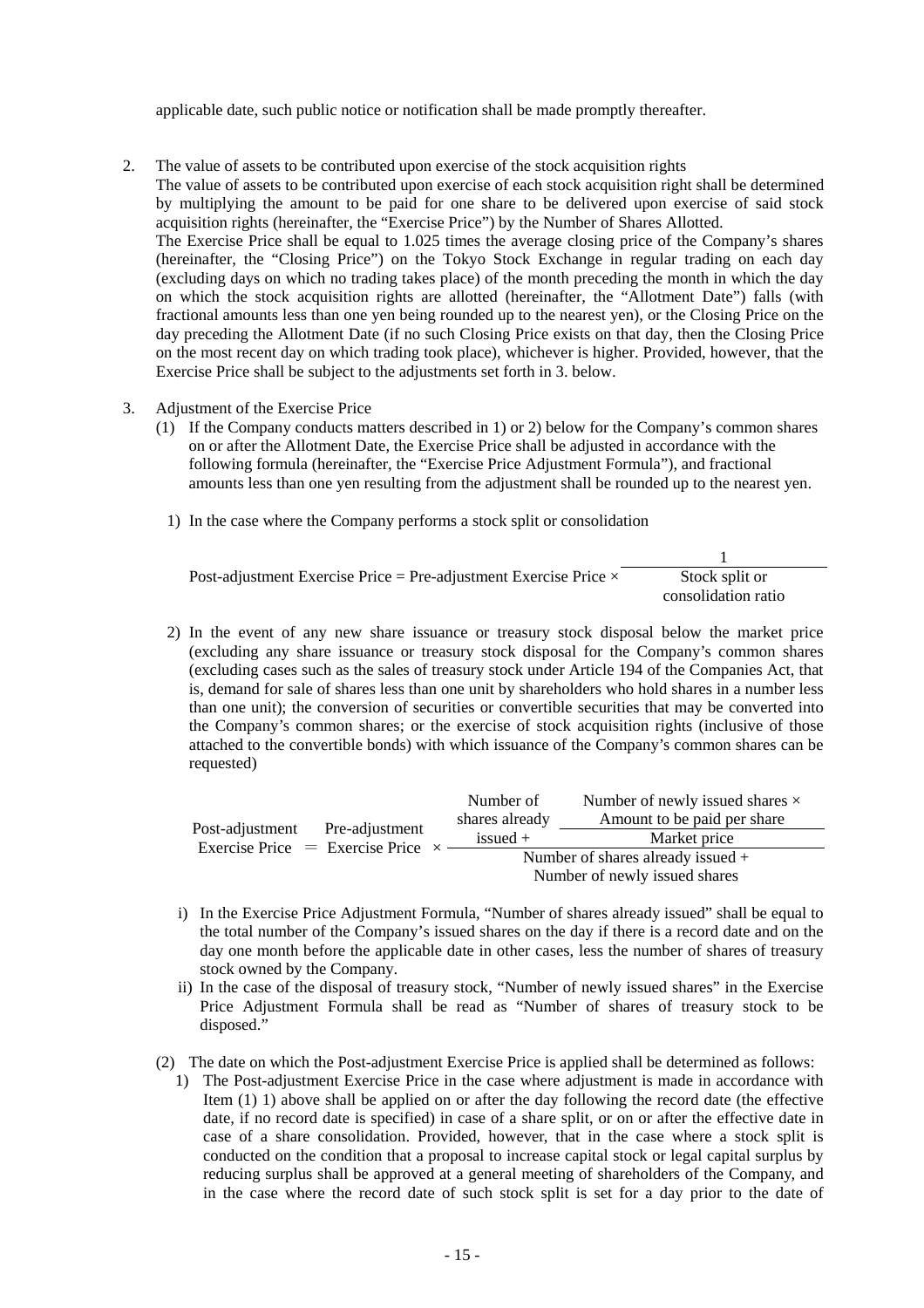applicable date, such public notice or notification shall be made promptly thereafter.

2. The value of assets to be contributed upon exercise of the stock acquisition rights

The value of assets to be contributed upon exercise of each stock acquisition right shall be determined by multiplying the amount to be paid for one share to be delivered upon exercise of said stock acquisition rights (hereinafter, the "Exercise Price") by the Number of Shares Allotted.

The Exercise Price shall be equal to 1.025 times the average closing price of the Company's shares (hereinafter, the "Closing Price") on the Tokyo Stock Exchange in regular trading on each day (excluding days on which no trading takes place) of the month preceding the month in which the day on which the stock acquisition rights are allotted (hereinafter, the "Allotment Date") falls (with fractional amounts less than one yen being rounded up to the nearest yen), or the Closing Price on the day preceding the Allotment Date (if no such Closing Price exists on that day, then the Closing Price on the most recent day on which trading took place), whichever is higher. Provided, however, that the Exercise Price shall be subject to the adjustments set forth in 3. below.

- 3. Adjustment of the Exercise Price
	- (1) If the Company conducts matters described in 1) or 2) below for the Company's common shares on or after the Allotment Date, the Exercise Price shall be adjusted in accordance with the following formula (hereinafter, the "Exercise Price Adjustment Formula"), and fractional amounts less than one yen resulting from the adjustment shall be rounded up to the nearest yen.
		- 1) In the case where the Company performs a stock split or consolidation

| Post-adjustment Exercise Price = Pre-adjustment Exercise Price $\times$ | Stock split or      |
|-------------------------------------------------------------------------|---------------------|
|                                                                         | consolidation ratio |

2) In the event of any new share issuance or treasury stock disposal below the market price (excluding any share issuance or treasury stock disposal for the Company's common shares (excluding cases such as the sales of treasury stock under Article 194 of the Companies Act, that is, demand for sale of shares less than one unit by shareholders who hold shares in a number less than one unit); the conversion of securities or convertible securities that may be converted into the Company's common shares; or the exercise of stock acquisition rights (inclusive of those attached to the convertible bonds) with which issuance of the Company's common shares can be requested)

| Post-adjustment | Pre-adjustment<br>Exercise Price $=$ Exercise Price $\times$ | Number of                           | Number of newly issued shares $\times$<br>Amount to be paid per share<br>Market price |  |
|-----------------|--------------------------------------------------------------|-------------------------------------|---------------------------------------------------------------------------------------|--|
|                 |                                                              | shares already                      |                                                                                       |  |
|                 |                                                              | $is sued +$                         |                                                                                       |  |
|                 |                                                              | Number of shares already issued $+$ |                                                                                       |  |
|                 |                                                              | Number of newly issued shares       |                                                                                       |  |

- i) In the Exercise Price Adjustment Formula, "Number of shares already issued" shall be equal to the total number of the Company's issued shares on the day if there is a record date and on the day one month before the applicable date in other cases, less the number of shares of treasury stock owned by the Company.
- ii) In the case of the disposal of treasury stock, "Number of newly issued shares" in the Exercise Price Adjustment Formula shall be read as "Number of shares of treasury stock to be disposed."
- (2) The date on which the Post-adjustment Exercise Price is applied shall be determined as follows:
	- 1) The Post-adjustment Exercise Price in the case where adjustment is made in accordance with Item (1) 1) above shall be applied on or after the day following the record date (the effective date, if no record date is specified) in case of a share split, or on or after the effective date in case of a share consolidation. Provided, however, that in the case where a stock split is conducted on the condition that a proposal to increase capital stock or legal capital surplus by reducing surplus shall be approved at a general meeting of shareholders of the Company, and in the case where the record date of such stock split is set for a day prior to the date of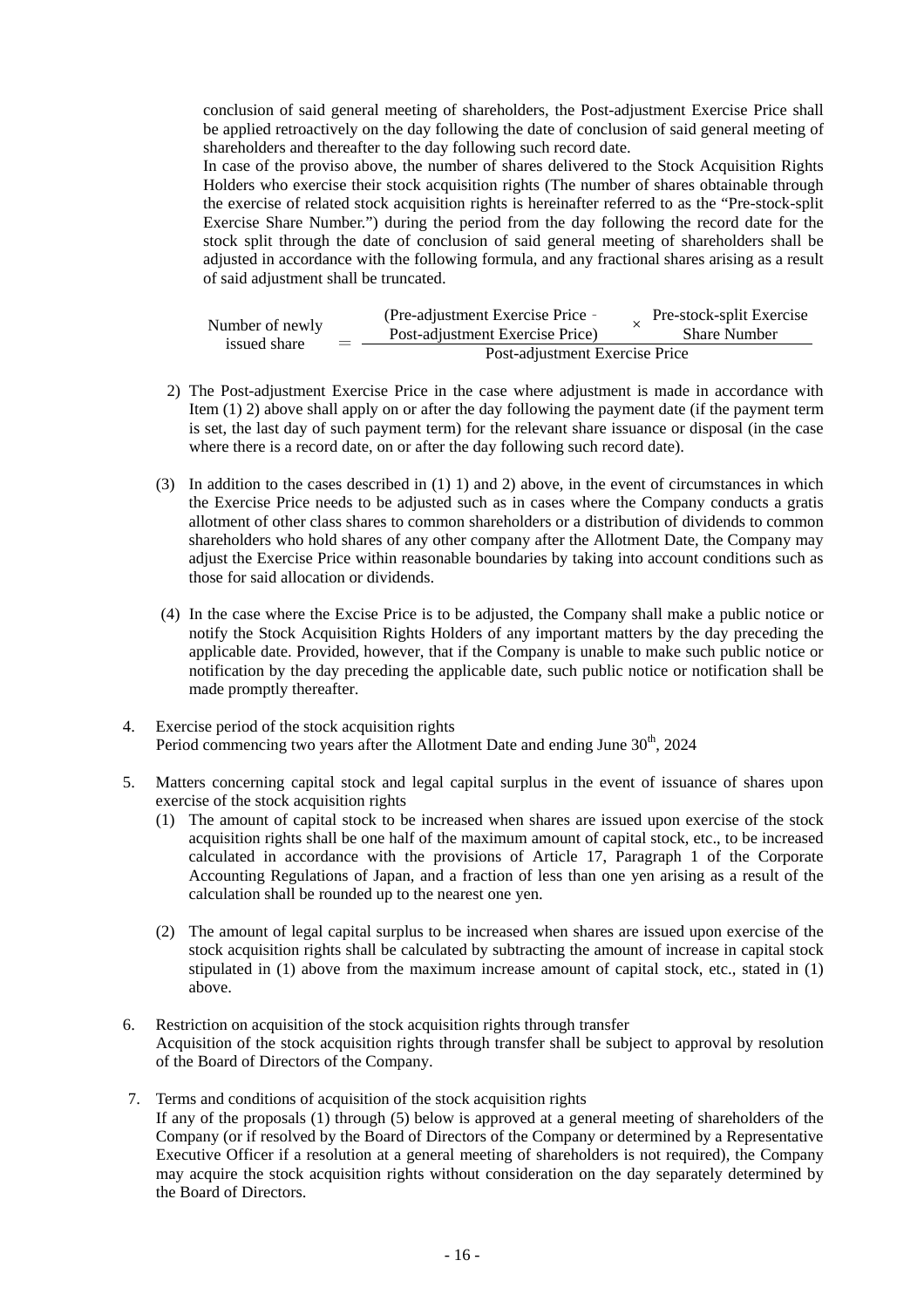conclusion of said general meeting of shareholders, the Post-adjustment Exercise Price shall be applied retroactively on the day following the date of conclusion of said general meeting of shareholders and thereafter to the day following such record date.

In case of the proviso above, the number of shares delivered to the Stock Acquisition Rights Holders who exercise their stock acquisition rights (The number of shares obtainable through the exercise of related stock acquisition rights is hereinafter referred to as the "Pre-stock-split Exercise Share Number.") during the period from the day following the record date for the stock split through the date of conclusion of said general meeting of shareholders shall be adjusted in accordance with the following formula, and any fractional shares arising as a result of said adjustment shall be truncated.

| Number of newly<br>issued share | ᆖ | (Pre-adjustment Exercise Price - |  | Pre-stock-split Exercise |
|---------------------------------|---|----------------------------------|--|--------------------------|
|                                 |   | Post-adjustment Exercise Price)  |  | <b>Share Number</b>      |
|                                 |   | Post-adjustment Exercise Price   |  |                          |

- 2) The Post-adjustment Exercise Price in the case where adjustment is made in accordance with Item (1) 2) above shall apply on or after the day following the payment date (if the payment term is set, the last day of such payment term) for the relevant share issuance or disposal (in the case where there is a record date, on or after the day following such record date).
- (3) In addition to the cases described in (1) 1) and 2) above, in the event of circumstances in which the Exercise Price needs to be adjusted such as in cases where the Company conducts a gratis allotment of other class shares to common shareholders or a distribution of dividends to common shareholders who hold shares of any other company after the Allotment Date, the Company may adjust the Exercise Price within reasonable boundaries by taking into account conditions such as those for said allocation or dividends.
- (4) In the case where the Excise Price is to be adjusted, the Company shall make a public notice or notify the Stock Acquisition Rights Holders of any important matters by the day preceding the applicable date. Provided, however, that if the Company is unable to make such public notice or notification by the day preceding the applicable date, such public notice or notification shall be made promptly thereafter.
- 4. Exercise period of the stock acquisition rights Period commencing two years after the Allotment Date and ending June  $30<sup>th</sup>$ , 2024
- 5. Matters concerning capital stock and legal capital surplus in the event of issuance of shares upon exercise of the stock acquisition rights
	- (1) The amount of capital stock to be increased when shares are issued upon exercise of the stock acquisition rights shall be one half of the maximum amount of capital stock, etc., to be increased calculated in accordance with the provisions of Article 17, Paragraph 1 of the Corporate Accounting Regulations of Japan, and a fraction of less than one yen arising as a result of the calculation shall be rounded up to the nearest one yen.
	- (2) The amount of legal capital surplus to be increased when shares are issued upon exercise of the stock acquisition rights shall be calculated by subtracting the amount of increase in capital stock stipulated in (1) above from the maximum increase amount of capital stock, etc., stated in (1) above.
- 6. Restriction on acquisition of the stock acquisition rights through transfer Acquisition of the stock acquisition rights through transfer shall be subject to approval by resolution of the Board of Directors of the Company.
- 7. Terms and conditions of acquisition of the stock acquisition rights If any of the proposals (1) through (5) below is approved at a general meeting of shareholders of the Company (or if resolved by the Board of Directors of the Company or determined by a Representative Executive Officer if a resolution at a general meeting of shareholders is not required), the Company may acquire the stock acquisition rights without consideration on the day separately determined by the Board of Directors.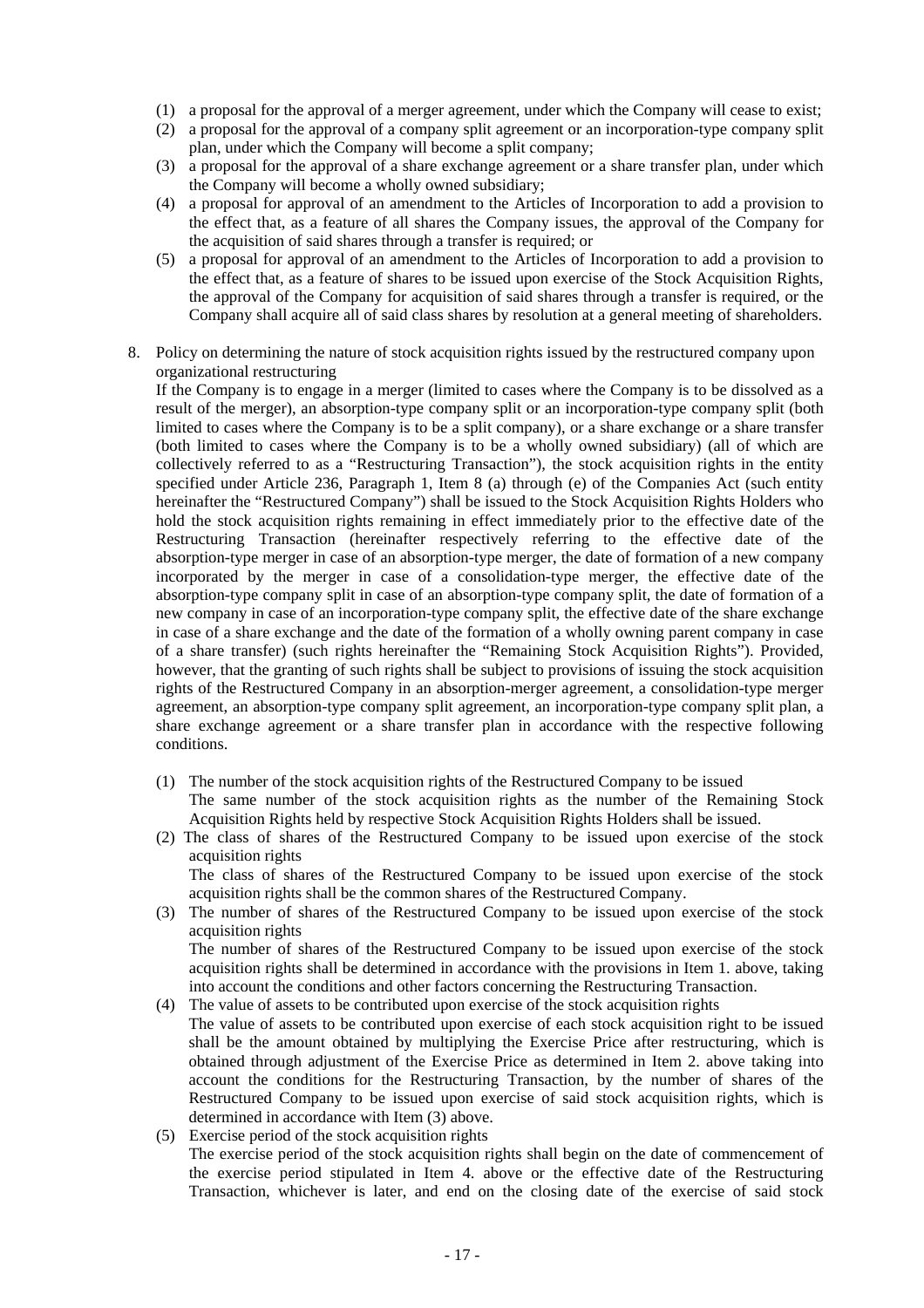- (1) a proposal for the approval of a merger agreement, under which the Company will cease to exist;
- (2) a proposal for the approval of a company split agreement or an incorporation-type company split plan, under which the Company will become a split company;
- (3) a proposal for the approval of a share exchange agreement or a share transfer plan, under which the Company will become a wholly owned subsidiary;
- (4) a proposal for approval of an amendment to the Articles of Incorporation to add a provision to the effect that, as a feature of all shares the Company issues, the approval of the Company for the acquisition of said shares through a transfer is required; or
- (5) a proposal for approval of an amendment to the Articles of Incorporation to add a provision to the effect that, as a feature of shares to be issued upon exercise of the Stock Acquisition Rights, the approval of the Company for acquisition of said shares through a transfer is required, or the Company shall acquire all of said class shares by resolution at a general meeting of shareholders.
- 8. Policy on determining the nature of stock acquisition rights issued by the restructured company upon organizational restructuring

If the Company is to engage in a merger (limited to cases where the Company is to be dissolved as a result of the merger), an absorption-type company split or an incorporation-type company split (both limited to cases where the Company is to be a split company), or a share exchange or a share transfer (both limited to cases where the Company is to be a wholly owned subsidiary) (all of which are collectively referred to as a "Restructuring Transaction"), the stock acquisition rights in the entity specified under Article 236, Paragraph 1, Item 8 (a) through (e) of the Companies Act (such entity hereinafter the "Restructured Company") shall be issued to the Stock Acquisition Rights Holders who hold the stock acquisition rights remaining in effect immediately prior to the effective date of the Restructuring Transaction (hereinafter respectively referring to the effective date of the absorption-type merger in case of an absorption-type merger, the date of formation of a new company incorporated by the merger in case of a consolidation-type merger, the effective date of the absorption-type company split in case of an absorption-type company split, the date of formation of a new company in case of an incorporation-type company split, the effective date of the share exchange in case of a share exchange and the date of the formation of a wholly owning parent company in case of a share transfer) (such rights hereinafter the "Remaining Stock Acquisition Rights"). Provided, however, that the granting of such rights shall be subject to provisions of issuing the stock acquisition rights of the Restructured Company in an absorption-merger agreement, a consolidation-type merger agreement, an absorption-type company split agreement, an incorporation-type company split plan, a share exchange agreement or a share transfer plan in accordance with the respective following conditions.

- (1) The number of the stock acquisition rights of the Restructured Company to be issued The same number of the stock acquisition rights as the number of the Remaining Stock Acquisition Rights held by respective Stock Acquisition Rights Holders shall be issued.
- (2) The class of shares of the Restructured Company to be issued upon exercise of the stock acquisition rights The class of shares of the Restructured Company to be issued upon exercise of the stock
- acquisition rights shall be the common shares of the Restructured Company. (3) The number of shares of the Restructured Company to be issued upon exercise of the stock acquisition rights

The number of shares of the Restructured Company to be issued upon exercise of the stock acquisition rights shall be determined in accordance with the provisions in Item 1. above, taking into account the conditions and other factors concerning the Restructuring Transaction.

- (4) The value of assets to be contributed upon exercise of the stock acquisition rights The value of assets to be contributed upon exercise of each stock acquisition right to be issued shall be the amount obtained by multiplying the Exercise Price after restructuring, which is obtained through adjustment of the Exercise Price as determined in Item 2. above taking into account the conditions for the Restructuring Transaction, by the number of shares of the Restructured Company to be issued upon exercise of said stock acquisition rights, which is determined in accordance with Item (3) above.
- (5) Exercise period of the stock acquisition rights The exercise period of the stock acquisition rights shall begin on the date of commencement of the exercise period stipulated in Item 4. above or the effective date of the Restructuring Transaction, whichever is later, and end on the closing date of the exercise of said stock